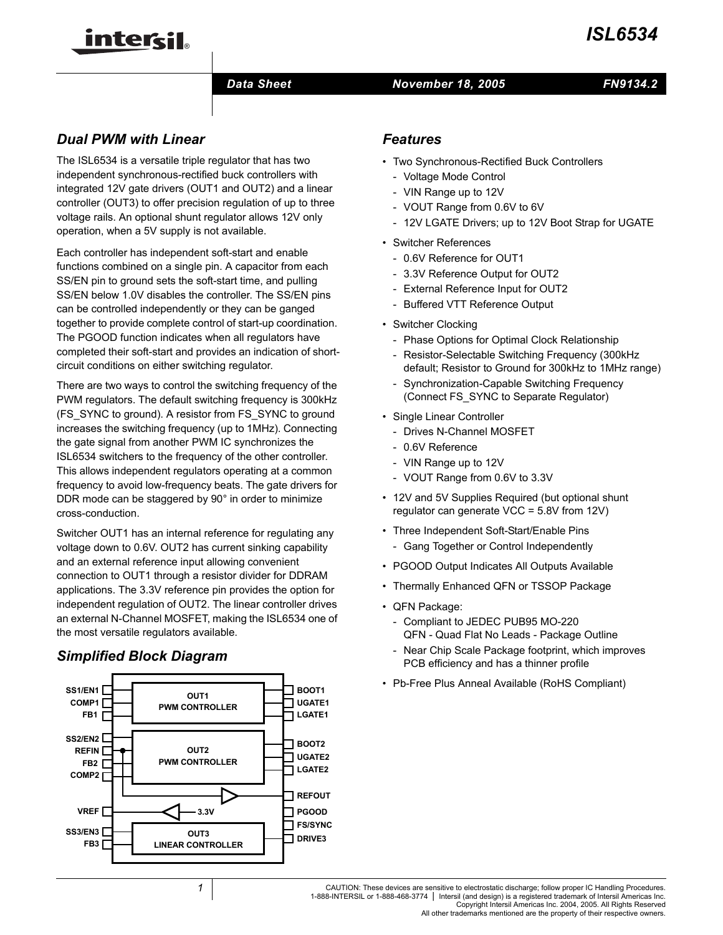

#### *Data Sheet November 18, 2005*

# *FN9134.2*

# *Dual PWM with Linear*

inter<del>cil</del>

The ISL6534 is a versatile triple regulator that has two independent synchronous-rectified buck controllers with integrated 12V gate drivers (OUT1 and OUT2) and a linear controller (OUT3) to offer precision regulation of up to three voltage rails. An optional shunt regulator allows 12V only operation, when a 5V supply is not available.

Each controller has independent soft-start and enable functions combined on a single pin. A capacitor from each SS/EN pin to ground sets the soft-start time, and pulling SS/EN below 1.0V disables the controller. The SS/EN pins can be controlled independently or they can be ganged together to provide complete control of start-up coordination. The PGOOD function indicates when all regulators have completed their soft-start and provides an indication of shortcircuit conditions on either switching regulator.

There are two ways to control the switching frequency of the PWM regulators. The default switching frequency is 300kHz (FS\_SYNC to ground). A resistor from FS\_SYNC to ground increases the switching frequency (up to 1MHz). Connecting the gate signal from another PWM IC synchronizes the ISL6534 switchers to the frequency of the other controller. This allows independent regulators operating at a common frequency to avoid low-frequency beats. The gate drivers for DDR mode can be staggered by 90° in order to minimize cross-conduction.

Switcher OUT1 has an internal reference for regulating any voltage down to 0.6V. OUT2 has current sinking capability and an external reference input allowing convenient connection to OUT1 through a resistor divider for DDRAM applications. The 3.3V reference pin provides the option for independent regulation of OUT2. The linear controller drives an external N-Channel MOSFET, making the ISL6534 one of the most versatile regulators available.

# *Simplified Block Diagram*



# *Features*

- Two Synchronous-Rectified Buck Controllers
	- Voltage Mode Control
	- VIN Range up to 12V
	- VOUT Range from 0.6V to 6V
	- 12V LGATE Drivers; up to 12V Boot Strap for UGATE
- Switcher References
	- 0.6V Reference for OUT1
	- 3.3V Reference Output for OUT2
	- External Reference Input for OUT2
	- Buffered VTT Reference Output
- Switcher Clocking
	- Phase Options for Optimal Clock Relationship
	- Resistor-Selectable Switching Frequency (300kHz default; Resistor to Ground for 300kHz to 1MHz range)
	- Synchronization-Capable Switching Frequency (Connect FS\_SYNC to Separate Regulator)
- Single Linear Controller
	- Drives N-Channel MOSFET
	- 0.6V Reference
	- VIN Range up to 12V
	- VOUT Range from 0.6V to 3.3V
- 12V and 5V Supplies Required (but optional shunt regulator can generate VCC = 5.8V from 12V)
- Three Independent Soft-Start/Enable Pins
	- Gang Together or Control Independently
- PGOOD Output Indicates All Outputs Available
- Thermally Enhanced QFN or TSSOP Package
- QFN Package:
	- Compliant to JEDEC PUB95 MO-220 QFN - Quad Flat No Leads - Package Outline
	- Near Chip Scale Package footprint, which improves PCB efficiency and has a thinner profile
- Pb-Free Plus Anneal Available (RoHS Compliant) **BOOT1**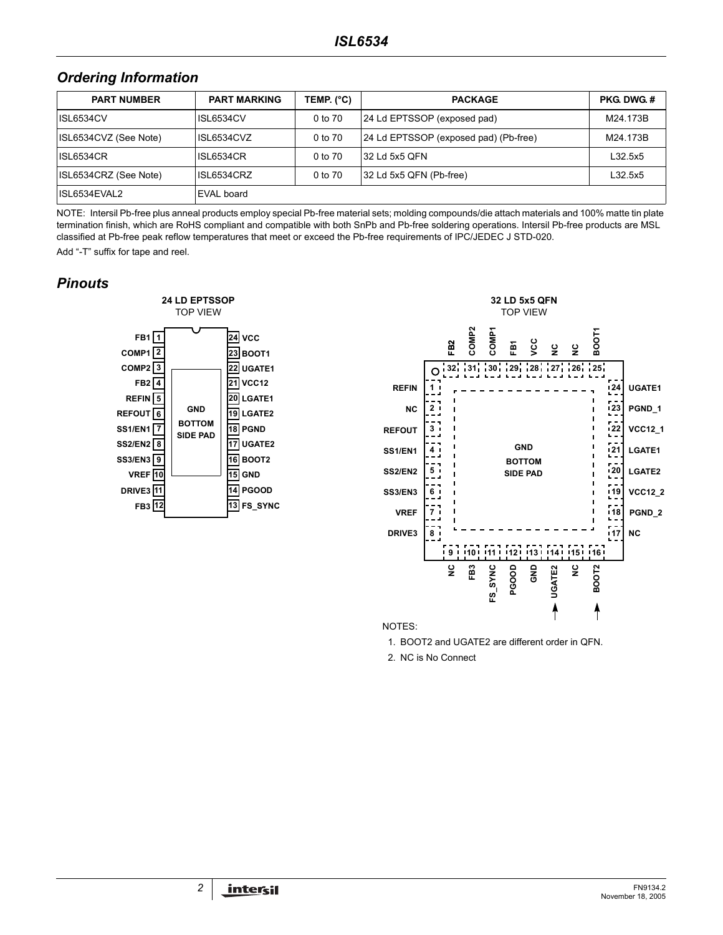## *Ordering Information*

| <b>PART NUMBER</b>    | <b>PART MARKING</b> | TEMP. (°C) | <b>PACKAGE</b>                        | <b>PKG DWG #</b> |
|-----------------------|---------------------|------------|---------------------------------------|------------------|
| ISL6534CV             | ISL6534CV           | 0 to 70    | 24 Ld EPTSSOP (exposed pad)           | M24.173B         |
| ISL6534CVZ (See Note) | ISL6534CVZ          | 0 to 70    | 24 Ld EPTSSOP (exposed pad) (Pb-free) | M24.173B         |
| <b>ISL6534CR</b>      | <b>ISL6534CR</b>    | 0 to 70    | 32 Ld 5x5 OFN                         | L32.5x5          |
| ISL6534CRZ (See Note) | ISL6534CRZ          | 0 to 70    | 32 Ld 5x5 QFN (Pb-free)               | L32.5x5          |
| ISL6534EVAL2          | EVAL board          |            |                                       |                  |

NOTE: Intersil Pb-free plus anneal products employ special Pb-free material sets; molding compounds/die attach materials and 100% matte tin plate termination finish, which are RoHS compliant and compatible with both SnPb and Pb-free soldering operations. Intersil Pb-free products are MSL classified at Pb-free peak reflow temperatures that meet or exceed the Pb-free requirements of IPC/JEDEC J STD-020.

Add "-T" suffix for tape and reel.

## *Pinouts*





NOTES:

1. BOOT2 and UGATE2 are different order in QFN.

2. NC is No Connect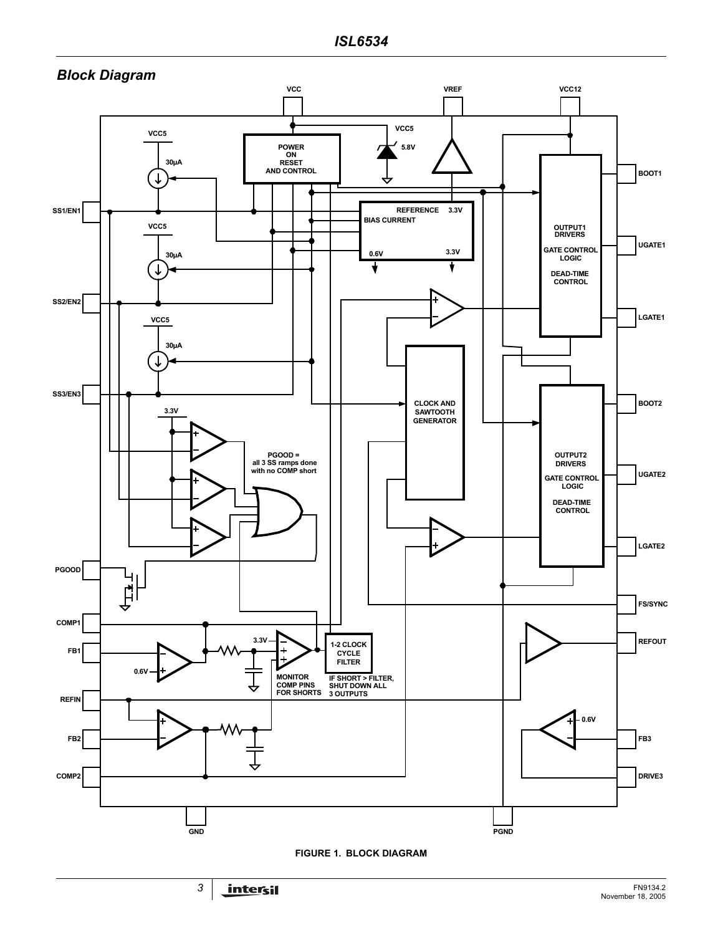

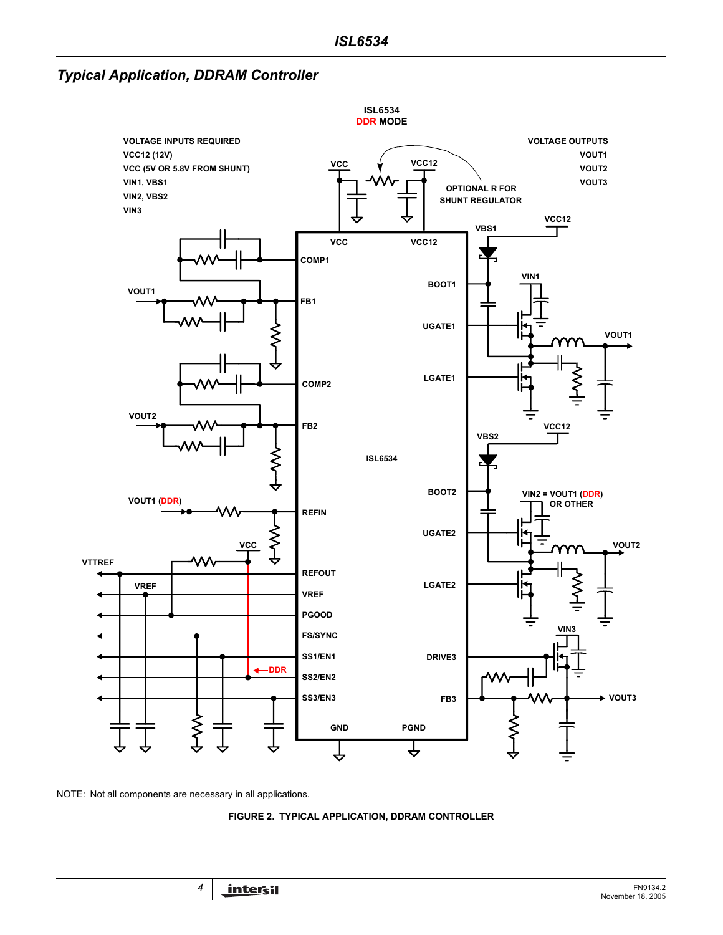*Typical Application, DDRAM Controller*



NOTE: Not all components are necessary in all applications.

**FIGURE 2. TYPICAL APPLICATION, DDRAM CONTROLLER**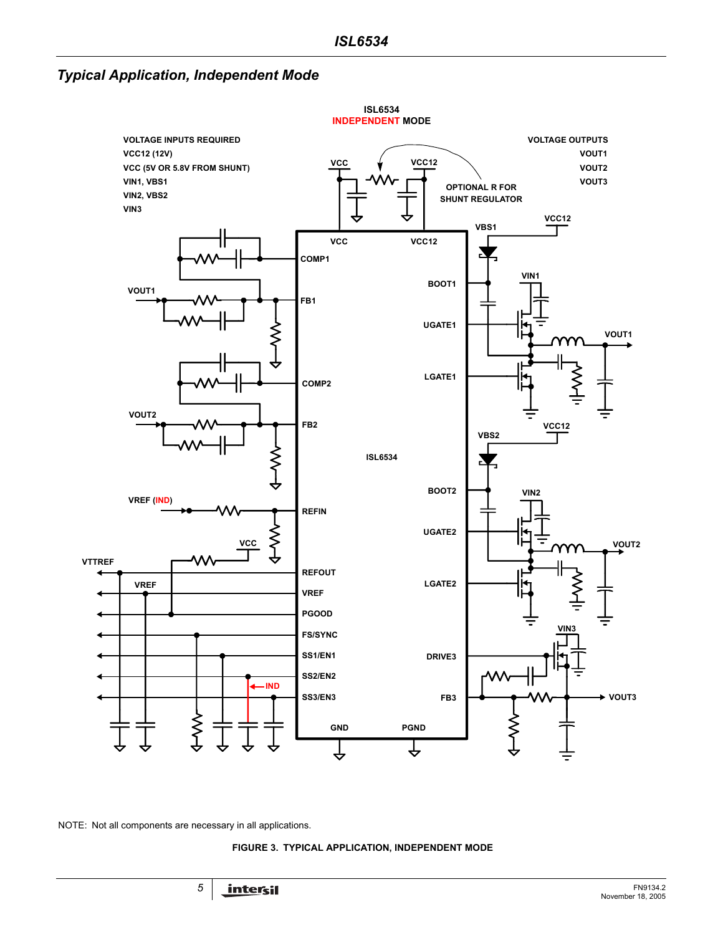*Typical Application, Independent Mode*



NOTE: Not all components are necessary in all applications.

**FIGURE 3. TYPICAL APPLICATION, INDEPENDENT MODE**

<span id="page-4-0"></span>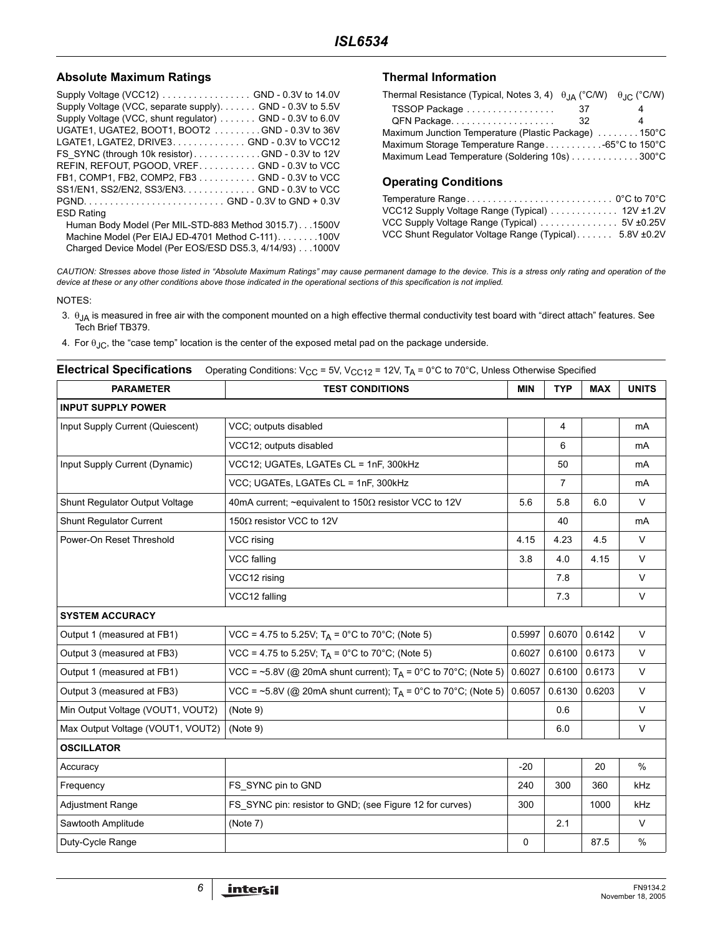#### Absolute Maximum Ratings **Thermal Information**

| Supply Voltage (VCC12) GND - 0.3V to 14.0V               |
|----------------------------------------------------------|
| Supply Voltage (VCC, separate supply) GND - 0.3V to 5.5V |
| Supply Voltage (VCC, shunt regulator) GND - 0.3V to 6.0V |
| UGATE1, UGATE2, BOOT1, BOOT2 GND - 0.3V to 36V           |
| LGATE1, LGATE2, DRIVE3. GND - 0.3V to VCC12              |
| FS SYNC (through 10k resistor)GND - 0.3V to 12V          |
| REFIN, REFOUT, PGOOD, VREF GND - 0.3V to VCC             |
| FB1, COMP1, FB2, COMP2, FB3 GND - 0.3V to VCC            |
| SS1/EN1, SS2/EN2, SS3/EN3. GND - 0.3V to VCC             |
|                                                          |
| <b>ESD Rating</b>                                        |
| Human Body Model (Per MIL-STD-883 Method 3015.7). 1500V  |
| Machine Model (Per EIAJ ED-4701 Method C-111)100V        |
| Charged Device Model (Per EOS/ESD DS5.3, 4/14/93) 1000V  |

| Thermal Resistance (Typical, Notes 3, 4) $\theta_{IA}$ (°C/W) $\theta_{IC}$ (°C/W) |    |   |
|------------------------------------------------------------------------------------|----|---|
| TSSOP Package                                                                      | 37 |   |
|                                                                                    | 32 | 4 |
| Maximum Junction Temperature (Plastic Package) 150°C                               |    |   |
|                                                                                    |    |   |
| Maximum Lead Temperature (Soldering 10s) 300°C                                     |    |   |

### **Operating Conditions**

| VCC12 Supply Voltage Range (Typical)  12V ±1.2V        |  |
|--------------------------------------------------------|--|
|                                                        |  |
| VCC Shunt Regulator Voltage Range (Typical) 5.8V ±0.2V |  |

*CAUTION: Stresses above those listed in "Absolute Maximum Ratings" may cause permanent damage to the device. This is a stress only rating and operation of the device at these or any other conditions above those indicated in the operational sections of this specification is not implied.*

NOTES:

- 3.  $θ_{JA}$  is measured in free air with the component mounted on a high effective thermal conductivity test board with "direct attach" features. See Tech Brief TB379.
- 4. For  $\theta_{\text{JC}}$ , the "case temp" location is the center of the exposed metal pad on the package underside.

|  | <b>Electrical Specifications</b> Operating Conditions: V <sub>CC</sub> = 5V, V <sub>CC12</sub> = 12V, T <sub>A</sub> = 0°C to 70°C, Unless Otherwise Specified |  |
|--|----------------------------------------------------------------------------------------------------------------------------------------------------------------|--|
|--|----------------------------------------------------------------------------------------------------------------------------------------------------------------|--|

| <b>PARAMETER</b>                  | <b>TEST CONDITIONS</b>                                            | <b>MIN</b> | <b>TYP</b> | <b>MAX</b> | <b>UNITS</b> |  |  |
|-----------------------------------|-------------------------------------------------------------------|------------|------------|------------|--------------|--|--|
| <b>INPUT SUPPLY POWER</b>         |                                                                   |            |            |            |              |  |  |
| Input Supply Current (Quiescent)  | VCC; outputs disabled                                             |            | 4          |            | mA           |  |  |
|                                   | VCC12; outputs disabled                                           |            | 6          |            | mA           |  |  |
| Input Supply Current (Dynamic)    | VCC12; UGATEs, LGATEs CL = 1nF, 300kHz                            |            | 50         |            | mA           |  |  |
|                                   | VCC; UGATEs, LGATEs CL = 1nF, 300kHz                              |            | 7          |            | mA           |  |  |
| Shunt Regulator Output Voltage    | 40mA current; ~equivalent to 150 $\Omega$ resistor VCC to 12V     | 5.6        | 5.8        | 6.0        | V            |  |  |
| Shunt Regulator Current           | 150 $\Omega$ resistor VCC to 12V                                  |            | 40         |            | mA           |  |  |
| Power-On Reset Threshold          | VCC rising                                                        | 4.15       | 4.23       | 4.5        | $\vee$       |  |  |
|                                   | <b>VCC falling</b>                                                | 3.8        | 4.0        | 4.15       | $\vee$       |  |  |
|                                   | VCC12 rising                                                      |            | 7.8        |            | $\vee$       |  |  |
|                                   | VCC12 falling                                                     |            | 7.3        |            | V            |  |  |
| <b>SYSTEM ACCURACY</b>            |                                                                   |            |            |            |              |  |  |
| Output 1 (measured at FB1)        | $VCC = 4.75$ to 5.25V; T <sub>A</sub> = 0°C to 70°C; (Note 5)     | 0.5997     | 0.6070     | 0.6142     | $\vee$       |  |  |
| Output 3 (measured at FB3)        | $VCC = 4.75$ to 5.25V; T <sub>A</sub> = 0°C to 70°C; (Note 5)     | 0.6027     | 0.6100     | 0.6173     | $\vee$       |  |  |
| Output 1 (measured at FB1)        | VCC = ~5.8V (@ 20mA shunt current); $T_A$ = 0°C to 70°C; (Note 5) | 0.6027     | 0.6100     | 0.6173     | $\vee$       |  |  |
| Output 3 (measured at FB3)        | VCC = ~5.8V (@ 20mA shunt current); $T_A$ = 0°C to 70°C; (Note 5) | 0.6057     | 0.6130     | 0.6203     | $\vee$       |  |  |
| Min Output Voltage (VOUT1, VOUT2) | (Note 9)                                                          |            | 0.6        |            | $\vee$       |  |  |
| Max Output Voltage (VOUT1, VOUT2) | (Note 9)                                                          |            | 6.0        |            | $\vee$       |  |  |
| <b>OSCILLATOR</b>                 |                                                                   |            |            |            |              |  |  |
| Accuracy                          |                                                                   | $-20$      |            | 20         | $\%$         |  |  |
| Frequency                         | FS SYNC pin to GND                                                | 240        | 300        | 360        | kHz          |  |  |
| <b>Adjustment Range</b>           | FS_SYNC pin: resistor to GND; (see Figure 12 for curves)          | 300        |            | 1000       | kHz          |  |  |
| Sawtooth Amplitude                | (Note 7)                                                          |            | 2.1        |            | $\vee$       |  |  |
| Duty-Cycle Range                  |                                                                   | 0          |            | 87.5       | %            |  |  |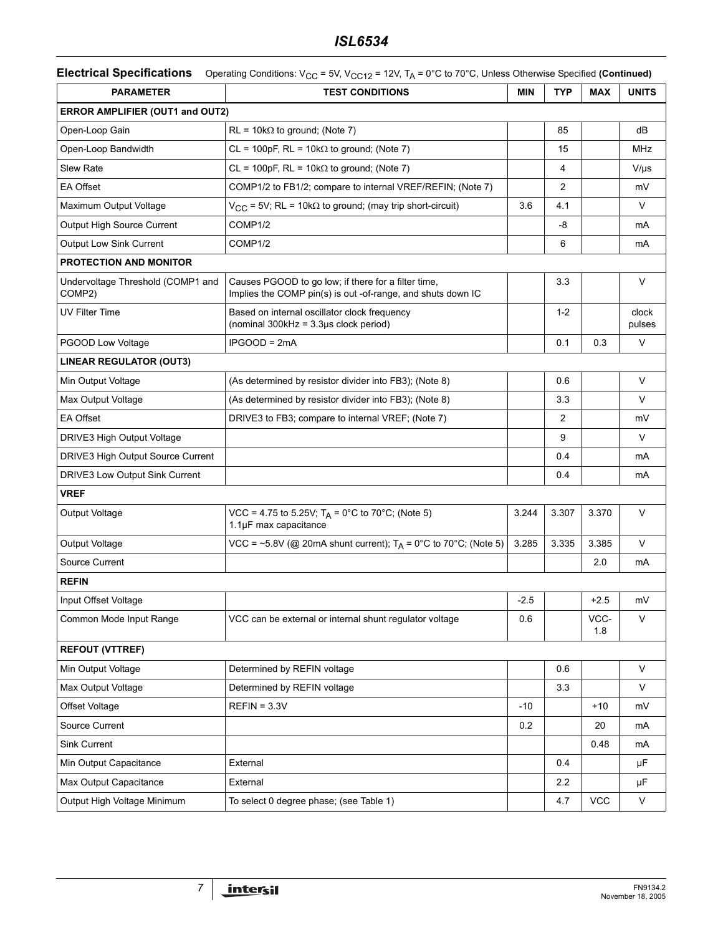# *ISL6534*

| <b>PARAMETER</b>                            | <b>TEST CONDITIONS</b>                                                                                             | <b>MIN</b> | <b>TYP</b>     | <b>MAX</b>  | <b>UNITS</b>    |
|---------------------------------------------|--------------------------------------------------------------------------------------------------------------------|------------|----------------|-------------|-----------------|
| <b>ERROR AMPLIFIER (OUT1 and OUT2)</b>      |                                                                                                                    |            |                |             |                 |
| Open-Loop Gain                              | $RL = 10k\Omega$ to ground; (Note 7)                                                                               |            | 85             |             | dB              |
| Open-Loop Bandwidth                         | $CL = 100pF$ , RL = 10k $\Omega$ to ground; (Note 7)                                                               |            | 15             |             | MHz             |
| Slew Rate                                   | $CL = 100pF$ , RL = 10k $\Omega$ to ground; (Note 7)                                                               |            | 4              |             | V/µs            |
| <b>EA Offset</b>                            | COMP1/2 to FB1/2; compare to internal VREF/REFIN; (Note 7)                                                         |            | $\overline{2}$ |             | mV              |
| Maximum Output Voltage                      | $V_{CC}$ = 5V; RL = 10k $\Omega$ to ground; (may trip short-circuit)                                               | 3.6        | 4.1            |             | V               |
| Output High Source Current                  | COMP1/2                                                                                                            |            | -8             |             | mA              |
| Output Low Sink Current                     | COMP1/2                                                                                                            |            | 6              |             | mA              |
| PROTECTION AND MONITOR                      |                                                                                                                    |            |                |             |                 |
| Undervoltage Threshold (COMP1 and<br>COMP2) | Causes PGOOD to go low; if there for a filter time,<br>Implies the COMP pin(s) is out -of-range, and shuts down IC |            | 3.3            |             | V               |
| <b>UV Filter Time</b>                       | Based on internal oscillator clock frequency<br>(nominal 300kHz = 3.3µs clock period)                              |            | $1 - 2$        |             | clock<br>pulses |
| PGOOD Low Voltage                           | $IPGOOD = 2mA$                                                                                                     |            | 0.1            | 0.3         | $\vee$          |
| <b>LINEAR REGULATOR (OUT3)</b>              |                                                                                                                    |            |                |             |                 |
| Min Output Voltage                          | (As determined by resistor divider into FB3); (Note 8)                                                             |            | 0.6            |             | V               |
| Max Output Voltage                          | (As determined by resistor divider into FB3); (Note 8)                                                             |            | 3.3            |             | V               |
| <b>EA Offset</b>                            | DRIVE3 to FB3; compare to internal VREF; (Note 7)                                                                  |            | $\overline{2}$ |             | mV              |
| DRIVE3 High Output Voltage                  |                                                                                                                    |            | 9              |             | V               |
| DRIVE3 High Output Source Current           |                                                                                                                    |            | 0.4            |             | mA              |
| DRIVE3 Low Output Sink Current              |                                                                                                                    |            | 0.4            |             | mA              |
| <b>VREF</b>                                 |                                                                                                                    |            |                |             |                 |
| Output Voltage                              | VCC = 4.75 to 5.25V; $T_A = 0^\circ C$ to 70°C; (Note 5)<br>1.1µF max capacitance                                  | 3.244      | 3.307          | 3.370       | V               |
| Output Voltage                              | VCC = ~5.8V (@ 20mA shunt current); $T_A$ = 0°C to 70°C; (Note 5)                                                  | 3.285      | 3.335          | 3.385       | V               |
| Source Current                              |                                                                                                                    |            |                | 2.0         | mA              |
| <b>REFIN</b>                                |                                                                                                                    |            |                |             |                 |
| Input Offset Voltage                        |                                                                                                                    | $-2.5$     |                | +2.5        | mV              |
| Common Mode Input Range                     | VCC can be external or internal shunt regulator voltage                                                            | 0.6        |                | VCC-<br>1.8 | V               |
| <b>REFOUT (VTTREF)</b>                      |                                                                                                                    |            |                |             |                 |
| Min Output Voltage                          | Determined by REFIN voltage                                                                                        |            | 0.6            |             | V               |
| Max Output Voltage                          | Determined by REFIN voltage                                                                                        |            | 3.3            |             | V               |
| Offset Voltage                              | $REFIN = 3.3V$                                                                                                     | $-10$      |                | $+10$       | mV              |
| Source Current                              |                                                                                                                    | 0.2        |                | 20          | mA              |
| Sink Current                                |                                                                                                                    |            |                | 0.48        | mA              |
| Min Output Capacitance                      | External                                                                                                           |            | 0.4            |             | μF              |
| Max Output Capacitance                      | External                                                                                                           |            | 2.2            |             | μF              |
| Output High Voltage Minimum                 | To select 0 degree phase; (see Table 1)                                                                            |            | 4.7            | <b>VCC</b>  | $\mathsf{V}$    |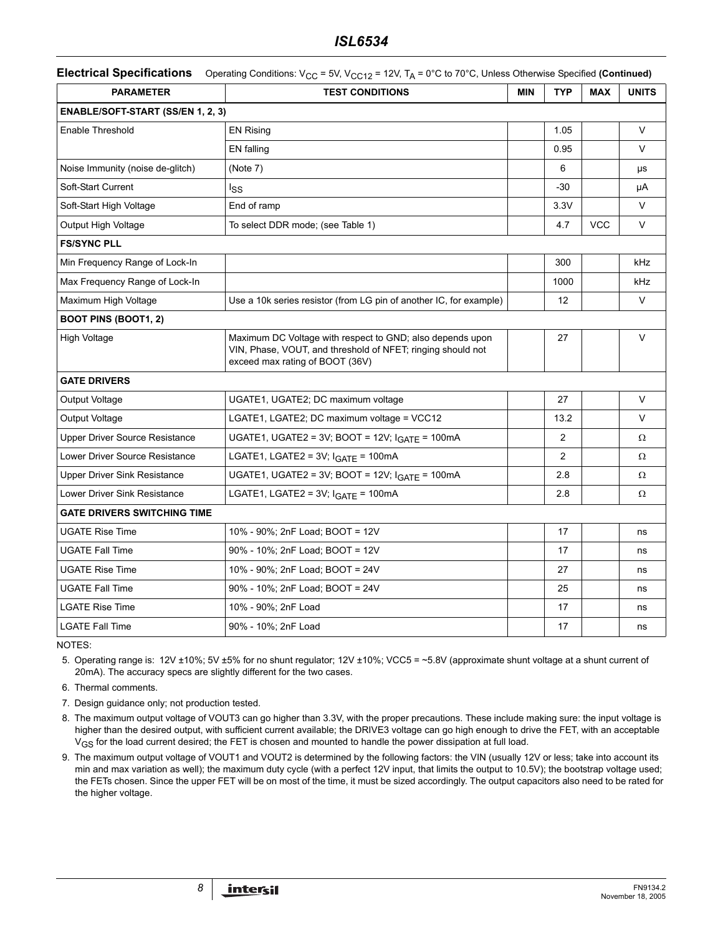### *ISL6534*

| <b>Electrical Specifications</b> Operating Conditions: $V_{CC}$ = 5V, $V_{CC12}$ = 12V, $T_A$ = 0°C to 70°C, Unless Otherwise Specified (Continued) |                                                                                                                                                             |            |                |            |              |  |
|-----------------------------------------------------------------------------------------------------------------------------------------------------|-------------------------------------------------------------------------------------------------------------------------------------------------------------|------------|----------------|------------|--------------|--|
| <b>PARAMETER</b>                                                                                                                                    | <b>TEST CONDITIONS</b>                                                                                                                                      | <b>MIN</b> | <b>TYP</b>     | <b>MAX</b> | <b>UNITS</b> |  |
| <b>ENABLE/SOFT-START (SS/EN 1, 2, 3)</b>                                                                                                            |                                                                                                                                                             |            |                |            |              |  |
| <b>Enable Threshold</b>                                                                                                                             | <b>EN Rising</b>                                                                                                                                            |            | 1.05           |            | $\vee$       |  |
|                                                                                                                                                     | EN falling                                                                                                                                                  |            | 0.95           |            | $\vee$       |  |
| Noise Immunity (noise de-glitch)                                                                                                                    | (Note 7)                                                                                                                                                    |            | 6              |            | μs           |  |
| Soft-Start Current                                                                                                                                  | lss                                                                                                                                                         |            | $-30$          |            | μA           |  |
| Soft-Start High Voltage                                                                                                                             | End of ramp                                                                                                                                                 |            | 3.3V           |            | V            |  |
| Output High Voltage                                                                                                                                 | To select DDR mode; (see Table 1)                                                                                                                           |            | 4.7            | <b>VCC</b> | V            |  |
| <b>FS/SYNC PLL</b>                                                                                                                                  |                                                                                                                                                             |            |                |            |              |  |
| Min Frequency Range of Lock-In                                                                                                                      |                                                                                                                                                             |            | 300            |            | kHz          |  |
| Max Frequency Range of Lock-In                                                                                                                      |                                                                                                                                                             |            | 1000           |            | kHz          |  |
| Maximum High Voltage                                                                                                                                | Use a 10k series resistor (from LG pin of another IC, for example)                                                                                          |            | 12             |            | V            |  |
| <b>BOOT PINS (BOOT1, 2)</b>                                                                                                                         |                                                                                                                                                             |            |                |            |              |  |
| High Voltage                                                                                                                                        | Maximum DC Voltage with respect to GND; also depends upon<br>VIN, Phase, VOUT, and threshold of NFET; ringing should not<br>exceed max rating of BOOT (36V) |            | 27             |            | V            |  |
| <b>GATE DRIVERS</b>                                                                                                                                 |                                                                                                                                                             |            |                |            |              |  |
| Output Voltage                                                                                                                                      | UGATE1, UGATE2; DC maximum voltage                                                                                                                          |            | 27             |            | $\vee$       |  |
| Output Voltage                                                                                                                                      | LGATE1, LGATE2; DC maximum voltage = VCC12                                                                                                                  |            | 13.2           |            | $\vee$       |  |
| <b>Upper Driver Source Resistance</b>                                                                                                               | UGATE1, UGATE2 = 3V; BOOT = 12V; I <sub>GATE</sub> = 100mA                                                                                                  |            | $\overline{2}$ |            | Ω            |  |
| Lower Driver Source Resistance                                                                                                                      | LGATE1, LGATE2 = $3V$ ; $IGATE = 100mA$                                                                                                                     |            | 2              |            | Ω            |  |
| <b>Upper Driver Sink Resistance</b>                                                                                                                 | UGATE1, UGATE2 = 3V; BOOT = 12V; $IGATE$ = 100mA                                                                                                            |            | 2.8            |            | Ω            |  |
| Lower Driver Sink Resistance                                                                                                                        | LGATE1, LGATE2 = $3V$ ; $IGATE = 100mA$                                                                                                                     |            | 2.8            |            | Ω            |  |
| <b>GATE DRIVERS SWITCHING TIME</b>                                                                                                                  |                                                                                                                                                             |            |                |            |              |  |
| <b>UGATE Rise Time</b>                                                                                                                              | 10% - 90%; 2nF Load; BOOT = 12V                                                                                                                             |            | 17             |            | ns           |  |
| <b>UGATE Fall Time</b>                                                                                                                              | 90% - 10%; 2nF Load; BOOT = 12V                                                                                                                             |            | 17             |            | ns           |  |
| <b>UGATE Rise Time</b>                                                                                                                              | 10% - 90%; 2nF Load; BOOT = 24V                                                                                                                             |            | 27             |            | ns           |  |
| <b>UGATE Fall Time</b>                                                                                                                              | 90% - 10%; 2nF Load; BOOT = 24V                                                                                                                             |            | 25             |            | ns           |  |
| <b>LGATE Rise Time</b>                                                                                                                              | 10% - 90%; 2nF Load                                                                                                                                         |            | 17             |            | ns           |  |
| <b>LGATE Fall Time</b>                                                                                                                              | 90% - 10%; 2nF Load                                                                                                                                         |            | 17             |            | ns           |  |

NOTES:

5. Operating range is: 12V ±10%; 5V ±5% for no shunt regulator; 12V ±10%; VCC5 = ~5.8V (approximate shunt voltage at a shunt current of 20mA). The accuracy specs are slightly different for the two cases.

6. Thermal comments.

7. Design guidance only; not production tested.

8. The maximum output voltage of VOUT3 can go higher than 3.3V, with the proper precautions. These include making sure: the input voltage is higher than the desired output, with sufficient current available; the DRIVE3 voltage can go high enough to drive the FET, with an acceptable V<sub>GS</sub> for the load current desired; the FET is chosen and mounted to handle the power dissipation at full load.

9. The maximum output voltage of VOUT1 and VOUT2 is determined by the following factors: the VIN (usually 12V or less; take into account its min and max variation as well); the maximum duty cycle (with a perfect 12V input, that limits the output to 10.5V); the bootstrap voltage used; the FETs chosen. Since the upper FET will be on most of the time, it must be sized accordingly. The output capacitors also need to be rated for the higher voltage.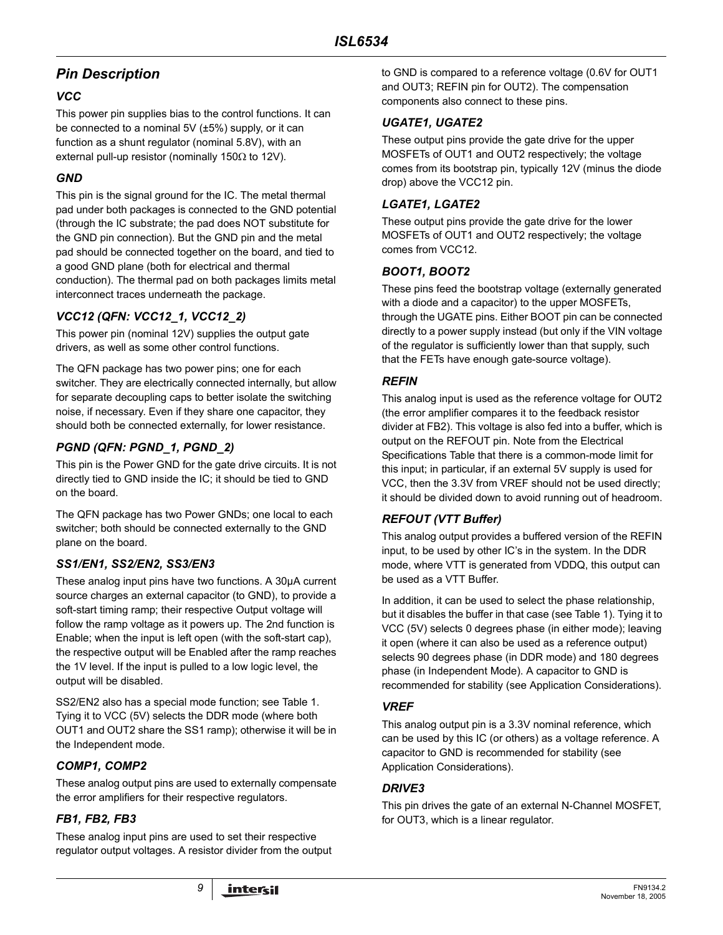# *Pin Description*

## *VCC*

This power pin supplies bias to the control functions. It can be connected to a nominal 5V (±5%) supply, or it can function as a shunt regulator (nominal 5.8V), with an external pull-up resistor (nominally 150Ω to 12V).

### *GND*

This pin is the signal ground for the IC. The metal thermal pad under both packages is connected to the GND potential (through the IC substrate; the pad does NOT substitute for the GND pin connection). But the GND pin and the metal pad should be connected together on the board, and tied to a good GND plane (both for electrical and thermal conduction). The thermal pad on both packages limits metal interconnect traces underneath the package.

# *VCC12 (QFN: VCC12\_1, VCC12\_2)*

This power pin (nominal 12V) supplies the output gate drivers, as well as some other control functions.

The QFN package has two power pins; one for each switcher. They are electrically connected internally, but allow for separate decoupling caps to better isolate the switching noise, if necessary. Even if they share one capacitor, they should both be connected externally, for lower resistance.

# *PGND (QFN: PGND\_1, PGND\_2)*

This pin is the Power GND for the gate drive circuits. It is not directly tied to GND inside the IC; it should be tied to GND on the board.

The QFN package has two Power GNDs; one local to each switcher; both should be connected externally to the GND plane on the board.

## *SS1/EN1, SS2/EN2, SS3/EN3*

These analog input pins have two functions. A 30µA current source charges an external capacitor (to GND), to provide a soft-start timing ramp; their respective Output voltage will follow the ramp voltage as it powers up. The 2nd function is Enable; when the input is left open (with the soft-start cap), the respective output will be Enabled after the ramp reaches the 1V level. If the input is pulled to a low logic level, the output will be disabled.

SS2/EN2 also has a special mode function; see Table 1. Tying it to VCC (5V) selects the DDR mode (where both OUT1 and OUT2 share the SS1 ramp); otherwise it will be in the Independent mode.

## *COMP1, COMP2*

These analog output pins are used to externally compensate the error amplifiers for their respective regulators.

## *FB1, FB2, FB3*

These analog input pins are used to set their respective regulator output voltages. A resistor divider from the output to GND is compared to a reference voltage (0.6V for OUT1 and OUT3; REFIN pin for OUT2). The compensation components also connect to these pins.

### *UGATE1, UGATE2*

These output pins provide the gate drive for the upper MOSFETs of OUT1 and OUT2 respectively; the voltage comes from its bootstrap pin, typically 12V (minus the diode drop) above the VCC12 pin.

### *LGATE1, LGATE2*

These output pins provide the gate drive for the lower MOSFETs of OUT1 and OUT2 respectively; the voltage comes from VCC12.

### *BOOT1, BOOT2*

These pins feed the bootstrap voltage (externally generated with a diode and a capacitor) to the upper MOSFETs, through the UGATE pins. Either BOOT pin can be connected directly to a power supply instead (but only if the VIN voltage of the regulator is sufficiently lower than that supply, such that the FETs have enough gate-source voltage).

### *REFIN*

This analog input is used as the reference voltage for OUT2 (the error amplifier compares it to the feedback resistor divider at FB2). This voltage is also fed into a buffer, which is output on the REFOUT pin. Note from the Electrical Specifications Table that there is a common-mode limit for this input; in particular, if an external 5V supply is used for VCC, then the 3.3V from VREF should not be used directly; it should be divided down to avoid running out of headroom.

## *REFOUT (VTT Buffer)*

This analog output provides a buffered version of the REFIN input, to be used by other IC's in the system. In the DDR mode, where VTT is generated from VDDQ, this output can be used as a VTT Buffer.

In addition, it can be used to select the phase relationship, but it disables the buffer in that case (see Table 1). Tying it to VCC (5V) selects 0 degrees phase (in either mode); leaving it open (where it can also be used as a reference output) selects 90 degrees phase (in DDR mode) and 180 degrees phase (in Independent Mode). A capacitor to GND is recommended for stability (see Application Considerations).

### *VREF*

This analog output pin is a 3.3V nominal reference, which can be used by this IC (or others) as a voltage reference. A capacitor to GND is recommended for stability (see Application Considerations).

### *DRIVE3*

This pin drives the gate of an external N-Channel MOSFET, for OUT3, which is a linear regulator.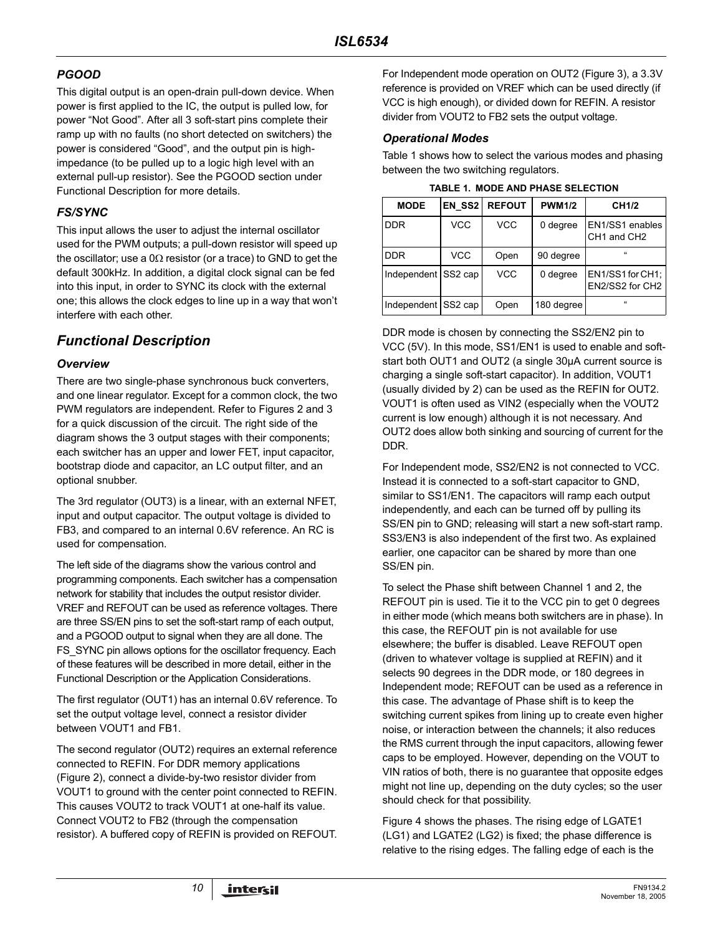# *PGOOD*

This digital output is an open-drain pull-down device. When power is first applied to the IC, the output is pulled low, for power "Not Good". After all 3 soft-start pins complete their ramp up with no faults (no short detected on switchers) the power is considered "Good", and the output pin is highimpedance (to be pulled up to a logic high level with an external pull-up resistor). See the PGOOD section under Functional Description for more details.

# *FS/SYNC*

This input allows the user to adjust the internal oscillator used for the PWM outputs; a pull-down resistor will speed up the oscillator; use a  $0\Omega$  resistor (or a trace) to GND to get the default 300kHz. In addition, a digital clock signal can be fed into this input, in order to SYNC its clock with the external one; this allows the clock edges to line up in a way that won't interfere with each other.

# *Functional Description*

### *Overview*

There are two single-phase synchronous buck converters, and one linear regulator. Except for a common clock, the two PWM regulators are independent. Refer to Figures 2 and [3](#page-4-0)  for a quick discussion of the circuit. The right side of the diagram shows the 3 output stages with their components; each switcher has an upper and lower FET, input capacitor, bootstrap diode and capacitor, an LC output filter, and an optional snubber.

The 3rd regulator (OUT3) is a linear, with an external NFET, input and output capacitor. The output voltage is divided to FB3, and compared to an internal 0.6V reference. An RC is used for compensation.

The left side of the diagrams show the various control and programming components. Each switcher has a compensation network for stability that includes the output resistor divider. VREF and REFOUT can be used as reference voltages. There are three SS/EN pins to set the soft-start ramp of each output, and a PGOOD output to signal when they are all done. The FS SYNC pin allows options for the oscillator frequency. Each of these features will be described in more detail, either in the Functional Description or the Application Considerations.

The first regulator (OUT1) has an internal 0.6V reference. To set the output voltage level, connect a resistor divider between VOUT1 and FB1.

The second regulator (OUT2) requires an external reference connected to REFIN. For DDR memory applications (Figure 2), connect a divide-by-two resistor divider from VOUT1 to ground with the center point connected to REFIN. This causes VOUT2 to track VOUT1 at one-half its value. Connect VOUT2 to FB2 (through the compensation resistor). A buffered copy of REFIN is provided on REFOUT.

For Independent mode operation on OUT2 (Figure [3\)](#page-4-0), a 3.3V reference is provided on VREF which can be used directly (if VCC is high enough), or divided down for REFIN. A resistor divider from VOUT2 to FB2 sets the output voltage.

### *Operational Modes*

Table 1 shows how to select the various modes and phasing between the two switching regulators.

**TABLE 1. MODE AND PHASE SELECTION**

| <b>MODE</b>         | EN SS2     | <b>REFOUT</b> | <b>PWM1/2</b> | CH <sub>1/2</sub>                                      |
|---------------------|------------|---------------|---------------|--------------------------------------------------------|
| <b>DDR</b>          | <b>VCC</b> | VCC           | 0 degree      | EN1/SS1 enables<br>CH <sub>1</sub> and CH <sub>2</sub> |
| <b>DDR</b>          | <b>VCC</b> | Open          | 90 degree     | $\alpha$                                               |
| Independent SS2 cap |            | VCC           | 0 degree      | EN1/SS1 for CH1;<br>EN2/SS2 for CH2                    |
| Independent SS2 cap |            | Open          | 180 degree    | $\alpha$                                               |

DDR mode is chosen by connecting the SS2/EN2 pin to VCC (5V). In this mode, SS1/EN1 is used to enable and softstart both OUT1 and OUT2 (a single 30µA current source is charging a single soft-start capacitor). In addition, VOUT1 (usually divided by 2) can be used as the REFIN for OUT2. VOUT1 is often used as VIN2 (especially when the VOUT2 current is low enough) although it is not necessary. And OUT2 does allow both sinking and sourcing of current for the DDR.

For Independent mode, SS2/EN2 is not connected to VCC. Instead it is connected to a soft-start capacitor to GND, similar to SS1/EN1. The capacitors will ramp each output independently, and each can be turned off by pulling its SS/EN pin to GND; releasing will start a new soft-start ramp. SS3/EN3 is also independent of the first two. As explained earlier, one capacitor can be shared by more than one SS/EN pin.

To select the Phase shift between Channel 1 and 2, the REFOUT pin is used. Tie it to the VCC pin to get 0 degrees in either mode (which means both switchers are in phase). In this case, the REFOUT pin is not available for use elsewhere; the buffer is disabled. Leave REFOUT open (driven to whatever voltage is supplied at REFIN) and it selects 90 degrees in the DDR mode, or 180 degrees in Independent mode; REFOUT can be used as a reference in this case. The advantage of Phase shift is to keep the switching current spikes from lining up to create even higher noise, or interaction between the channels; it also reduces the RMS current through the input capacitors, allowing fewer caps to be employed. However, depending on the VOUT to VIN ratios of both, there is no guarantee that opposite edges might not line up, depending on the duty cycles; so the user should check for that possibility.

Figure 4 shows the phases. The rising edge of LGATE1 (LG1) and LGATE2 (LG2) is fixed; the phase difference is relative to the rising edges. The falling edge of each is the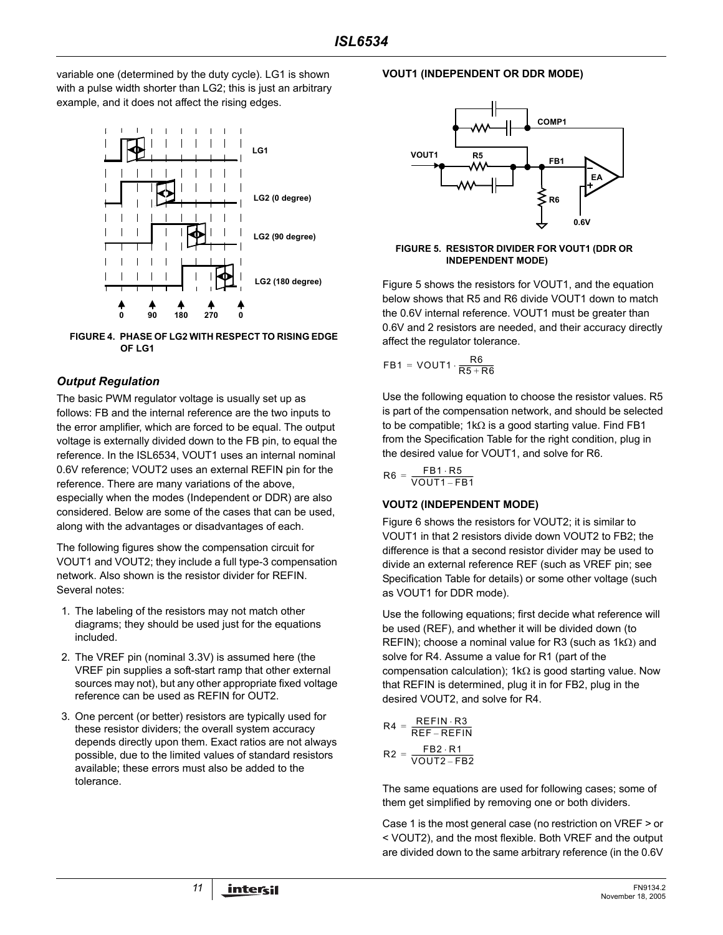variable one (determined by the duty cycle). LG1 is shown with a pulse width shorter than LG2; this is just an arbitrary example, and it does not affect the rising edges.



**FIGURE 4. PHASE OF LG2 WITH RESPECT TO RISING EDGE OF LG1**

### *Output Regulation*

The basic PWM regulator voltage is usually set up as follows: FB and the internal reference are the two inputs to the error amplifier, which are forced to be equal. The output voltage is externally divided down to the FB pin, to equal the reference. In the ISL6534, VOUT1 uses an internal nominal 0.6V reference; VOUT2 uses an external REFIN pin for the reference. There are many variations of the above, especially when the modes (Independent or DDR) are also considered. Below are some of the cases that can be used, along with the advantages or disadvantages of each.

The following figures show the compensation circuit for VOUT1 and VOUT2; they include a full type-3 compensation network. Also shown is the resistor divider for REFIN. Several notes:

- 1. The labeling of the resistors may not match other diagrams; they should be used just for the equations included.
- 2. The VREF pin (nominal 3.3V) is assumed here (the VREF pin supplies a soft-start ramp that other external sources may not), but any other appropriate fixed voltage reference can be used as REFIN for OUT2.
- 3. One percent (or better) resistors are typically used for these resistor dividers; the overall system accuracy depends directly upon them. Exact ratios are not always possible, due to the limited values of standard resistors available; these errors must also be added to the tolerance.

#### **VOUT1 (INDEPENDENT OR DDR MODE)**



<span id="page-10-0"></span>**FIGURE 5. RESISTOR DIVIDER FOR VOUT1 (DDR OR INDEPENDENT MODE)**

Figure [5](#page-10-0) shows the resistors for VOUT1, and the equation below shows that R5 and R6 divide VOUT1 down to match the 0.6V internal reference. VOUT1 must be greater than 0.6V and 2 resistors are needed, and their accuracy directly affect the regulator tolerance.

$$
\mathsf{FB1} = \mathsf{VOUT1} \cdot \frac{\mathsf{R6}}{\mathsf{R5} + \mathsf{R6}}
$$

Use the following equation to choose the resistor values. R5 is part of the compensation network, and should be selected to be compatible; 1kΩ is a good starting value. Find FB1 from the Specification Table for the right condition, plug in the desired value for VOUT1, and solve for R6.

$$
R6 = \frac{FB1 \cdot R5}{VOUT1 - FB1}
$$

### **VOUT2 (INDEPENDENT MODE)**

Figure 6 shows the resistors for VOUT2; it is similar to VOUT1 in that 2 resistors divide down VOUT2 to FB2; the difference is that a second resistor divider may be used to divide an external reference REF (such as VREF pin; see Specification Table for details) or some other voltage (such as VOUT1 for DDR mode).

Use the following equations; first decide what reference will be used (REF), and whether it will be divided down (to REFIN); choose a nominal value for R3 (such as 1kΩ) and solve for R4. Assume a value for R1 (part of the compensation calculation); 1kΩ is good starting value. Now that REFIN is determined, plug it in for FB2, plug in the desired VOUT2, and solve for R4.

$$
R4 = \frac{REFIN \cdot R3}{REF -REFIN}
$$

$$
R2 = \frac{FB2 \cdot R1}{VOUT2 - FB2}
$$

The same equations are used for following cases; some of them get simplified by removing one or both dividers.

Case 1 is the most general case (no restriction on VREF > or < VOUT2), and the most flexible. Both VREF and the output are divided down to the same arbitrary reference (in the 0.6V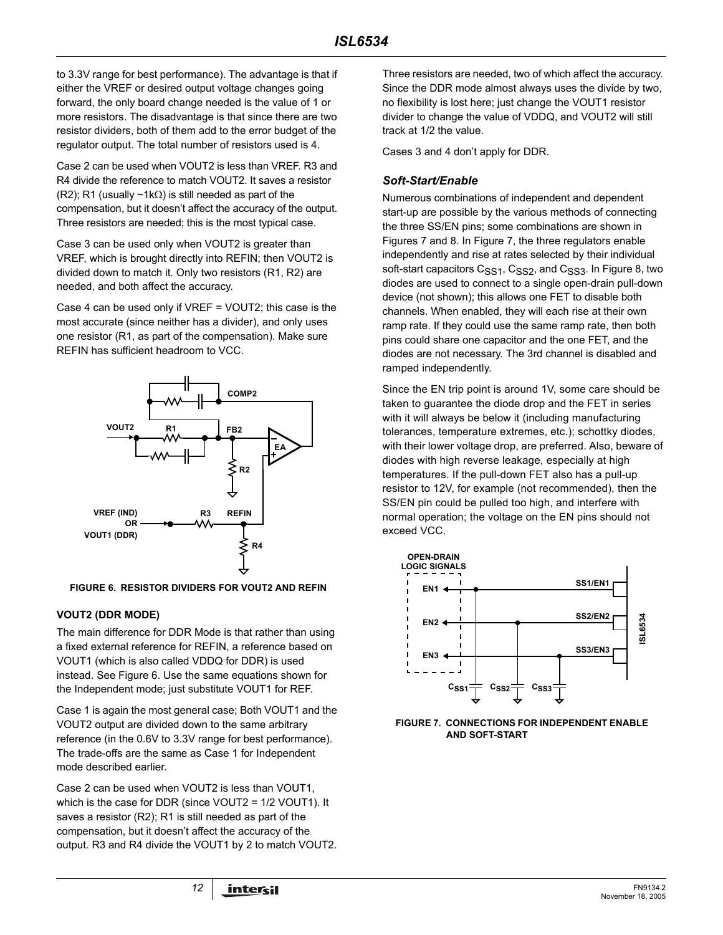to 3.3V range for best performance). The advantage is that if either the VREF or desired output voltage changes going forward, the only board change needed is the value of 1 or more resistors. The disadvantage is that since there are two resistor dividers, both of them add to the error budget of the regulator output. The total number of resistors used is 4.

Case 2 can be used when VOUT2 is less than VREF. R3 and R4 divide the reference to match VOUT2. It saves a resistor (R2); R1 (usually ~1kΩ) is still needed as part of the compensation, but it doesn't affect the accuracy of the output. Three resistors are needed; this is the most typical case.

Case 3 can be used only when VOUT2 is greater than VREF, which is brought directly into REFIN; then VOUT2 is divided down to match it. Only two resistors (R1, R2) are needed, and both affect the accuracy.

Case 4 can be used only if VREF = VOUT2; this case is the most accurate (since neither has a divider), and only uses one resistor (R1, as part of the compensation). Make sure REFIN has sufficient headroom to VCC.



**FIGURE 6. RESISTOR DIVIDERS FOR VOUT2 AND REFIN**

#### **VOUT2 (DDR MODE)**

The main difference for DDR Mode is that rather than using a fixed external reference for REFIN, a reference based on VOUT1 (which is also called VDDQ for DDR) is used instead. See Figure 6. Use the same equations shown for the Independent mode; just substitute VOUT1 for REF.

Case 1 is again the most general case; Both VOUT1 and the VOUT2 output are divided down to the same arbitrary reference (in the 0.6V to 3.3V range for best performance). The trade-offs are the same as Case 1 for Independent mode described earlier.

Case 2 can be used when VOUT2 is less than VOUT1, which is the case for DDR (since VOUT2 = 1/2 VOUT1). It saves a resistor (R2); R1 is still needed as part of the compensation, but it doesn't affect the accuracy of the output. R3 and R4 divide the VOUT1 by 2 to match VOUT2. Three resistors are needed, two of which affect the accuracy. Since the DDR mode almost always uses the divide by two, no flexibility is lost here; just change the VOUT1 resistor divider to change the value of VDDQ, and VOUT2 will still track at 1/2 the value.

Cases 3 and 4 don't apply for DDR.

### *Soft-Start/Enable*

Numerous combinations of independent and dependent start-up are possible by the various methods of connecting the three SS/EN pins; some combinations are shown in Figures 7 and 8. In Figure 7, the three regulators enable independently and rise at rates selected by their individual soft-start capacitors C<sub>SS1</sub>, C<sub>SS2</sub>, and C<sub>SS3</sub>. In Figure 8, two diodes are used to connect to a single open-drain pull-down device (not shown); this allows one FET to disable both channels. When enabled, they will each rise at their own ramp rate. If they could use the same ramp rate, then both pins could share one capacitor and the one FET, and the diodes are not necessary. The 3rd channel is disabled and ramped independently.

Since the EN trip point is around 1V, some care should be taken to guarantee the diode drop and the FET in series with it will always be below it (including manufacturing tolerances, temperature extremes, etc.); schottky diodes, with their lower voltage drop, are preferred. Also, beware of diodes with high reverse leakage, especially at high temperatures. If the pull-down FET also has a pull-up resistor to 12V, for example (not recommended), then the SS/EN pin could be pulled too high, and interfere with normal operation; the voltage on the EN pins should not exceed VCC.



**FIGURE 7. CONNECTIONS FOR INDEPENDENT ENABLE AND SOFT-START**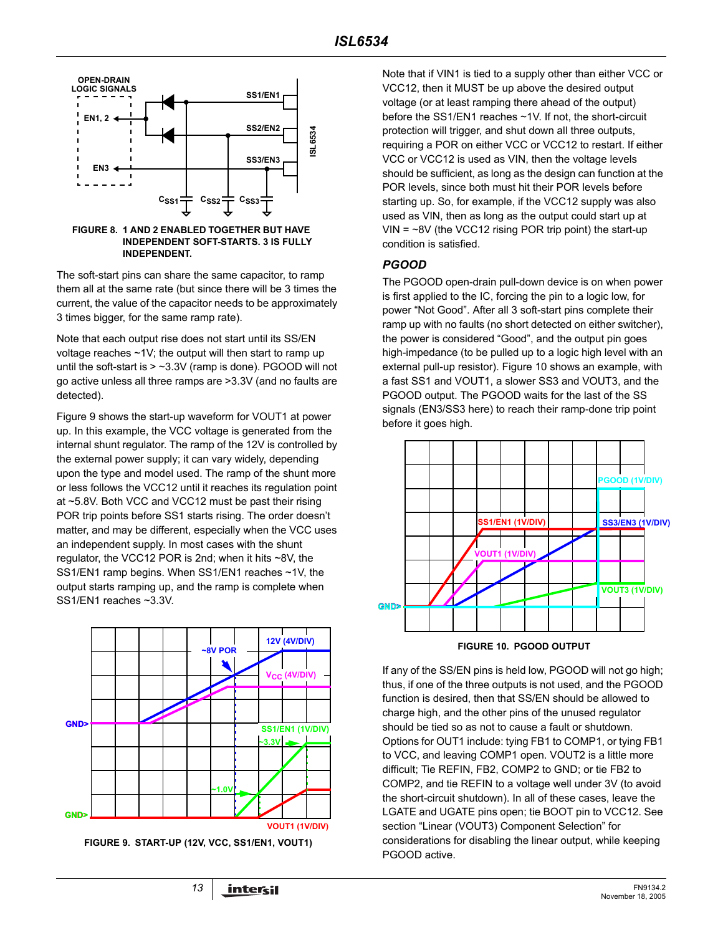

**FIGURE 8. 1 AND 2 ENABLED TOGETHER BUT HAVE INDEPENDENT SOFT-STARTS. 3 IS FULLY INDEPENDENT.**

The soft-start pins can share the same capacitor, to ramp them all at the same rate (but since there will be 3 times the current, the value of the capacitor needs to be approximately 3 times bigger, for the same ramp rate).

Note that each output rise does not start until its SS/EN voltage reaches  $\sim$ 1V; the output will then start to ramp up until the soft-start is  $>$  ~3.3V (ramp is done). PGOOD will not go active unless all three ramps are >3.3V (and no faults are detected).

Figure 9 shows the start-up waveform for VOUT1 at power up. In this example, the VCC voltage is generated from the internal shunt regulator. The ramp of the 12V is controlled by the external power supply; it can vary widely, depending upon the type and model used. The ramp of the shunt more or less follows the VCC12 until it reaches its regulation point at ~5.8V. Both VCC and VCC12 must be past their rising POR trip points before SS1 starts rising. The order doesn't matter, and may be different, especially when the VCC uses an independent supply. In most cases with the shunt regulator, the VCC12 POR is 2nd; when it hits ~8V, the SS1/EN1 ramp begins. When SS1/EN1 reaches ~1V, the output starts ramping up, and the ramp is complete when SS1/EN1 reaches ~3.3V.



**FIGURE 9. START-UP (12V, VCC, SS1/EN1, VOUT1)**

Note that if VIN1 is tied to a supply other than either VCC or VCC12, then it MUST be up above the desired output voltage (or at least ramping there ahead of the output) before the SS1/EN1 reaches ~1V. If not, the short-circuit protection will trigger, and shut down all three outputs, requiring a POR on either VCC or VCC12 to restart. If either VCC or VCC12 is used as VIN, then the voltage levels should be sufficient, as long as the design can function at the POR levels, since both must hit their POR levels before starting up. So, for example, if the VCC12 supply was also used as VIN, then as long as the output could start up at  $VIN = -8V$  (the VCC12 rising POR trip point) the start-up condition is satisfied.

#### *PGOOD*

The PGOOD open-drain pull-down device is on when power is first applied to the IC, forcing the pin to a logic low, for power "Not Good". After all 3 soft-start pins complete their ramp up with no faults (no short detected on either switcher), the power is considered "Good", and the output pin goes high-impedance (to be pulled up to a logic high level with an external pull-up resistor). Figure 10 shows an example, with a fast SS1 and VOUT1, a slower SS3 and VOUT3, and the PGOOD output. The PGOOD waits for the last of the SS signals (EN3/SS3 here) to reach their ramp-done trip point before it goes high.



**FIGURE 10. PGOOD OUTPUT**

If any of the SS/EN pins is held low, PGOOD will not go high; thus, if one of the three outputs is not used, and the PGOOD function is desired, then that SS/EN should be allowed to charge high, and the other pins of the unused regulator should be tied so as not to cause a fault or shutdown. Options for OUT1 include: tying FB1 to COMP1, or tying FB1 to VCC, and leaving COMP1 open. VOUT2 is a little more difficult; Tie REFIN, FB2, COMP2 to GND; or tie FB2 to COMP2, and tie REFIN to a voltage well under 3V (to avoid the short-circuit shutdown). In all of these cases, leave the LGATE and UGATE pins open; tie BOOT pin to VCC12. See section "Linear (VOUT3) Component Selection" for considerations for disabling the linear output, while keeping PGOOD active.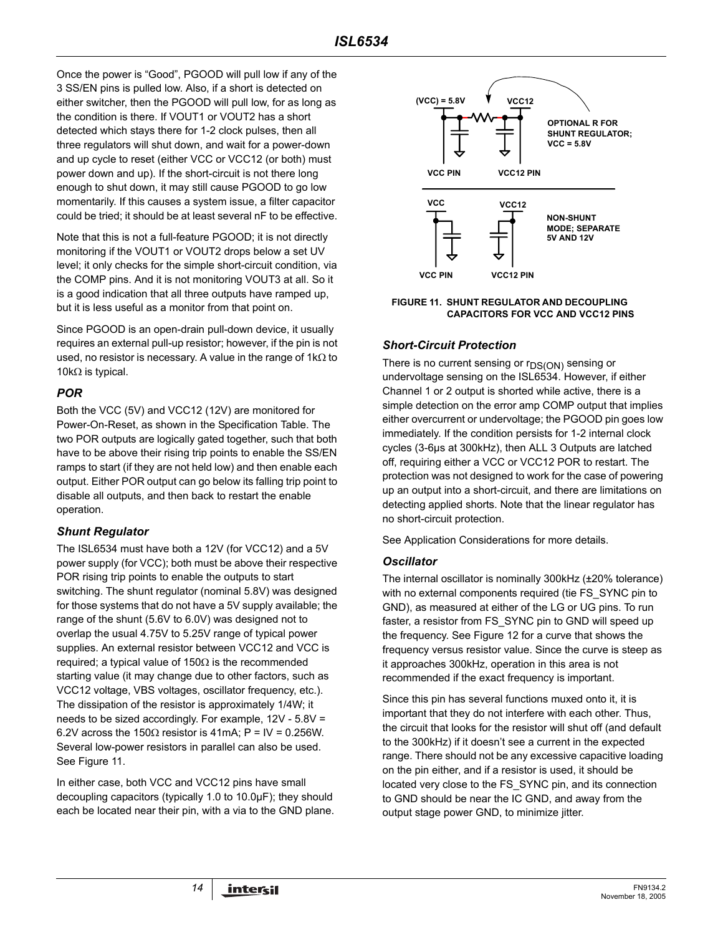Once the power is "Good", PGOOD will pull low if any of the 3 SS/EN pins is pulled low. Also, if a short is detected on either switcher, then the PGOOD will pull low, for as long as the condition is there. If VOUT1 or VOUT2 has a short detected which stays there for 1-2 clock pulses, then all three regulators will shut down, and wait for a power-down and up cycle to reset (either VCC or VCC12 (or both) must power down and up). If the short-circuit is not there long enough to shut down, it may still cause PGOOD to go low momentarily. If this causes a system issue, a filter capacitor could be tried; it should be at least several nF to be effective.

Note that this is not a full-feature PGOOD; it is not directly monitoring if the VOUT1 or VOUT2 drops below a set UV level; it only checks for the simple short-circuit condition, via the COMP pins. And it is not monitoring VOUT3 at all. So it is a good indication that all three outputs have ramped up, but it is less useful as a monitor from that point on.

Since PGOOD is an open-drain pull-down device, it usually requires an external pull-up resistor; however, if the pin is not used, no resistor is necessary. A value in the range of 1kΩ to 10kΩ is typical.

### *POR*

Both the VCC (5V) and VCC12 (12V) are monitored for Power-On-Reset, as shown in the Specification Table. The two POR outputs are logically gated together, such that both have to be above their rising trip points to enable the SS/EN ramps to start (if they are not held low) and then enable each output. Either POR output can go below its falling trip point to disable all outputs, and then back to restart the enable operation.

### *Shunt Regulator*

The ISL6534 must have both a 12V (for VCC12) and a 5V power supply (for VCC); both must be above their respective POR rising trip points to enable the outputs to start switching. The shunt regulator (nominal 5.8V) was designed for those systems that do not have a 5V supply available; the range of the shunt (5.6V to 6.0V) was designed not to overlap the usual 4.75V to 5.25V range of typical power supplies. An external resistor between VCC12 and VCC is required; a typical value of 150Ω is the recommended starting value (it may change due to other factors, such as VCC12 voltage, VBS voltages, oscillator frequency, etc.). The dissipation of the resistor is approximately 1/4W; it needs to be sized accordingly. For example, 12V - 5.8V = 6.2V across the 150 $\Omega$  resistor is 41mA; P = IV = 0.256W. Several low-power resistors in parallel can also be used. See Figure 11.

In either case, both VCC and VCC12 pins have small decoupling capacitors (typically 1.0 to 10.0µF); they should each be located near their pin, with a via to the GND plane.



#### **FIGURE 11. SHUNT REGULATOR AND DECOUPLING CAPACITORS FOR VCC AND VCC12 PINS**

### *Short-Circuit Protection*

There is no current sensing or  $r_{DS(ON)}$  sensing or undervoltage sensing on the ISL6534. However, if either Channel 1 or 2 output is shorted while active, there is a simple detection on the error amp COMP output that implies either overcurrent or undervoltage; the PGOOD pin goes low immediately. If the condition persists for 1-2 internal clock cycles (3-6µs at 300kHz), then ALL 3 Outputs are latched off, requiring either a VCC or VCC12 POR to restart. The protection was not designed to work for the case of powering up an output into a short-circuit, and there are limitations on detecting applied shorts. Note that the linear regulator has no short-circuit protection.

See Application Considerations for more details.

### *Oscillator*

The internal oscillator is nominally 300kHz (±20% tolerance) with no external components required (tie FS\_SYNC pin to GND), as measured at either of the LG or UG pins. To run faster, a resistor from FS\_SYNC pin to GND will speed up the frequency. See Figure 12 for a curve that shows the frequency versus resistor value. Since the curve is steep as it approaches 300kHz, operation in this area is not recommended if the exact frequency is important.

Since this pin has several functions muxed onto it, it is important that they do not interfere with each other. Thus, the circuit that looks for the resistor will shut off (and default to the 300kHz) if it doesn't see a current in the expected range. There should not be any excessive capacitive loading on the pin either, and if a resistor is used, it should be located very close to the FS\_SYNC pin, and its connection to GND should be near the IC GND, and away from the output stage power GND, to minimize jitter.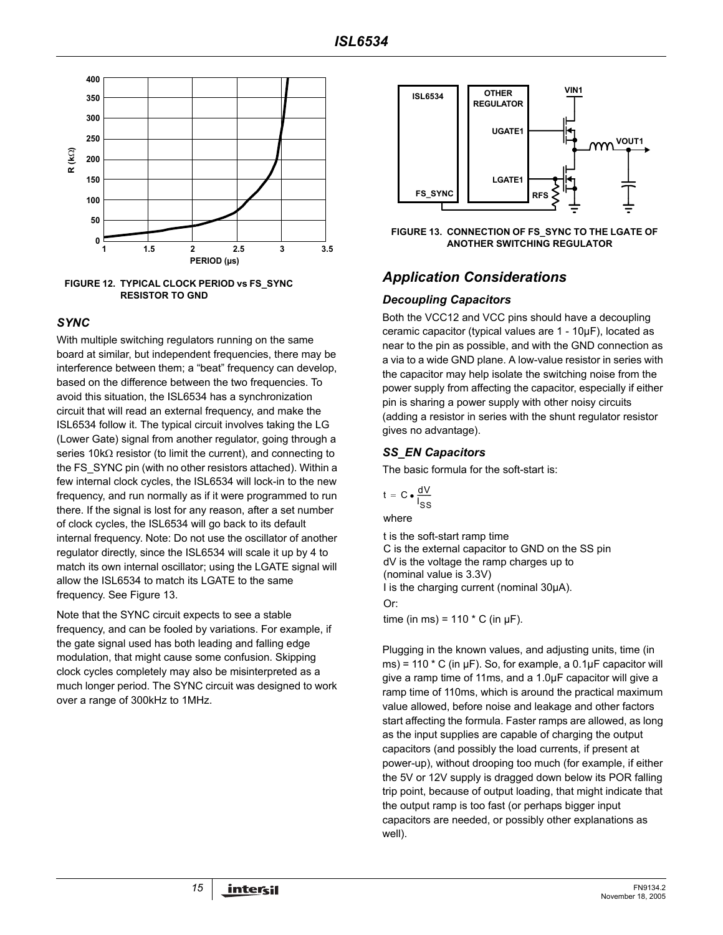

**FIGURE 12. TYPICAL CLOCK PERIOD vs FS\_SYNC RESISTOR TO GND**

#### *SYNC*

With multiple switching regulators running on the same board at similar, but independent frequencies, there may be interference between them; a "beat" frequency can develop, based on the difference between the two frequencies. To avoid this situation, the ISL6534 has a synchronization circuit that will read an external frequency, and make the ISL6534 follow it. The typical circuit involves taking the LG (Lower Gate) signal from another regulator, going through a series 10kΩ resistor (to limit the current), and connecting to the FS SYNC pin (with no other resistors attached). Within a few internal clock cycles, the ISL6534 will lock-in to the new frequency, and run normally as if it were programmed to run there. If the signal is lost for any reason, after a set number of clock cycles, the ISL6534 will go back to its default internal frequency. Note: Do not use the oscillator of another regulator directly, since the ISL6534 will scale it up by 4 to match its own internal oscillator; using the LGATE signal will allow the ISL6534 to match its LGATE to the same frequency. See Figure 13.

Note that the SYNC circuit expects to see a stable frequency, and can be fooled by variations. For example, if the gate signal used has both leading and falling edge modulation, that might cause some confusion. Skipping clock cycles completely may also be misinterpreted as a much longer period. The SYNC circuit was designed to work over a range of 300kHz to 1MHz.



**FIGURE 13. CONNECTION OF FS\_SYNC TO THE LGATE OF ANOTHER SWITCHING REGULATOR**

# *Application Considerations*

#### *Decoupling Capacitors*

Both the VCC12 and VCC pins should have a decoupling ceramic capacitor (typical values are 1 - 10µF), located as near to the pin as possible, and with the GND connection as a via to a wide GND plane. A low-value resistor in series with the capacitor may help isolate the switching noise from the power supply from affecting the capacitor, especially if either pin is sharing a power supply with other noisy circuits (adding a resistor in series with the shunt regulator resistor gives no advantage).

### *SS\_EN Capacitors*

The basic formula for the soft-start is:

$$
t = C \cdot \frac{dV}{I_{SS}}
$$

where

t is the soft-start ramp time C is the external capacitor to GND on the SS pin dV is the voltage the ramp charges up to (nominal value is 3.3V) I is the charging current (nominal 30µA). Or:

time (in ms) =  $110 * C$  (in  $\mu$ F).

Plugging in the known values, and adjusting units, time (in ms) = 110  $*$  C (in  $\mu$ F). So, for example, a 0.1 $\mu$ F capacitor will give a ramp time of 11ms, and a 1.0µF capacitor will give a ramp time of 110ms, which is around the practical maximum value allowed, before noise and leakage and other factors start affecting the formula. Faster ramps are allowed, as long as the input supplies are capable of charging the output capacitors (and possibly the load currents, if present at power-up), without drooping too much (for example, if either the 5V or 12V supply is dragged down below its POR falling trip point, because of output loading, that might indicate that the output ramp is too fast (or perhaps bigger input capacitors are needed, or possibly other explanations as well).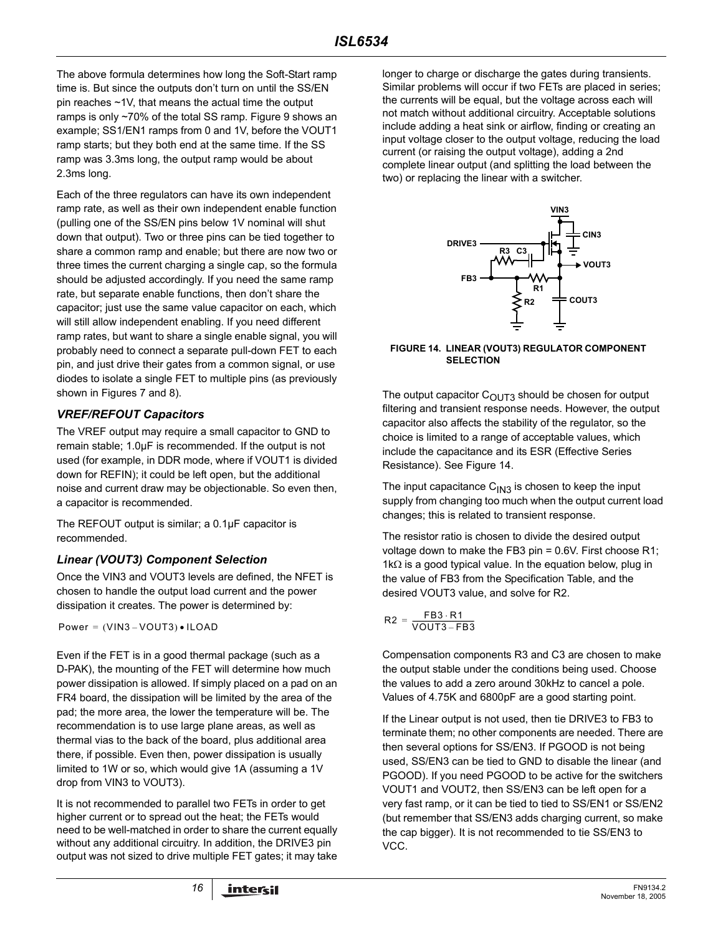The above formula determines how long the Soft-Start ramp time is. But since the outputs don't turn on until the SS/EN pin reaches ~1V, that means the actual time the output ramps is only ~70% of the total SS ramp. Figure 9 shows an example; SS1/EN1 ramps from 0 and 1V, before the VOUT1 ramp starts; but they both end at the same time. If the SS ramp was 3.3ms long, the output ramp would be about 2.3ms long.

Each of the three regulators can have its own independent ramp rate, as well as their own independent enable function (pulling one of the SS/EN pins below 1V nominal will shut down that output). Two or three pins can be tied together to share a common ramp and enable; but there are now two or three times the current charging a single cap, so the formula should be adjusted accordingly. If you need the same ramp rate, but separate enable functions, then don't share the capacitor; just use the same value capacitor on each, which will still allow independent enabling. If you need different ramp rates, but want to share a single enable signal, you will probably need to connect a separate pull-down FET to each pin, and just drive their gates from a common signal, or use diodes to isolate a single FET to multiple pins (as previously shown in Figures 7 and 8).

### *VREF/REFOUT Capacitors*

The VREF output may require a small capacitor to GND to remain stable; 1.0µF is recommended. If the output is not used (for example, in DDR mode, where if VOUT1 is divided down for REFIN); it could be left open, but the additional noise and current draw may be objectionable. So even then, a capacitor is recommended.

The REFOUT output is similar; a 0.1µF capacitor is recommended.

### *Linear (VOUT3) Component Selection*

Once the VIN3 and VOUT3 levels are defined, the NFET is chosen to handle the output load current and the power dissipation it creates. The power is determined by:

 $Power = (VIN3 - VOUT3) \cdot ILOAD$ 

Even if the FET is in a good thermal package (such as a D-PAK), the mounting of the FET will determine how much power dissipation is allowed. If simply placed on a pad on an FR4 board, the dissipation will be limited by the area of the pad; the more area, the lower the temperature will be. The recommendation is to use large plane areas, as well as thermal vias to the back of the board, plus additional area there, if possible. Even then, power dissipation is usually limited to 1W or so, which would give 1A (assuming a 1V drop from VIN3 to VOUT3).

It is not recommended to parallel two FETs in order to get higher current or to spread out the heat; the FETs would need to be well-matched in order to share the current equally without any additional circuitry. In addition, the DRIVE3 pin output was not sized to drive multiple FET gates; it may take

longer to charge or discharge the gates during transients. Similar problems will occur if two FETs are placed in series; the currents will be equal, but the voltage across each will not match without additional circuitry. Acceptable solutions include adding a heat sink or airflow, finding or creating an input voltage closer to the output voltage, reducing the load current (or raising the output voltage), adding a 2nd complete linear output (and splitting the load between the two) or replacing the linear with a switcher.



#### **FIGURE 14. LINEAR (VOUT3) REGULATOR COMPONENT SELECTION**

The output capacitor  $C_{\text{OUT3}}$  should be chosen for output filtering and transient response needs. However, the output capacitor also affects the stability of the regulator, so the choice is limited to a range of acceptable values, which include the capacitance and its ESR (Effective Series Resistance). See Figure 14.

The input capacitance  $C_{1N3}$  is chosen to keep the input supply from changing too much when the output current load changes; this is related to transient response.

The resistor ratio is chosen to divide the desired output voltage down to make the FB3 pin = 0.6V. First choose R1; 1k $\Omega$  is a good typical value. In the equation below, plug in the value of FB3 from the Specification Table, and the desired VOUT3 value, and solve for R2.

$$
R2 = \frac{FB3 \cdot R1}{VOUT3 - FB3}
$$

Compensation components R3 and C3 are chosen to make the output stable under the conditions being used. Choose the values to add a zero around 30kHz to cancel a pole. Values of 4.75K and 6800pF are a good starting point.

If the Linear output is not used, then tie DRIVE3 to FB3 to terminate them; no other components are needed. There are then several options for SS/EN3. If PGOOD is not being used, SS/EN3 can be tied to GND to disable the linear (and PGOOD). If you need PGOOD to be active for the switchers VOUT1 and VOUT2, then SS/EN3 can be left open for a very fast ramp, or it can be tied to tied to SS/EN1 or SS/EN2 (but remember that SS/EN3 adds charging current, so make the cap bigger). It is not recommended to tie SS/EN3 to VCC.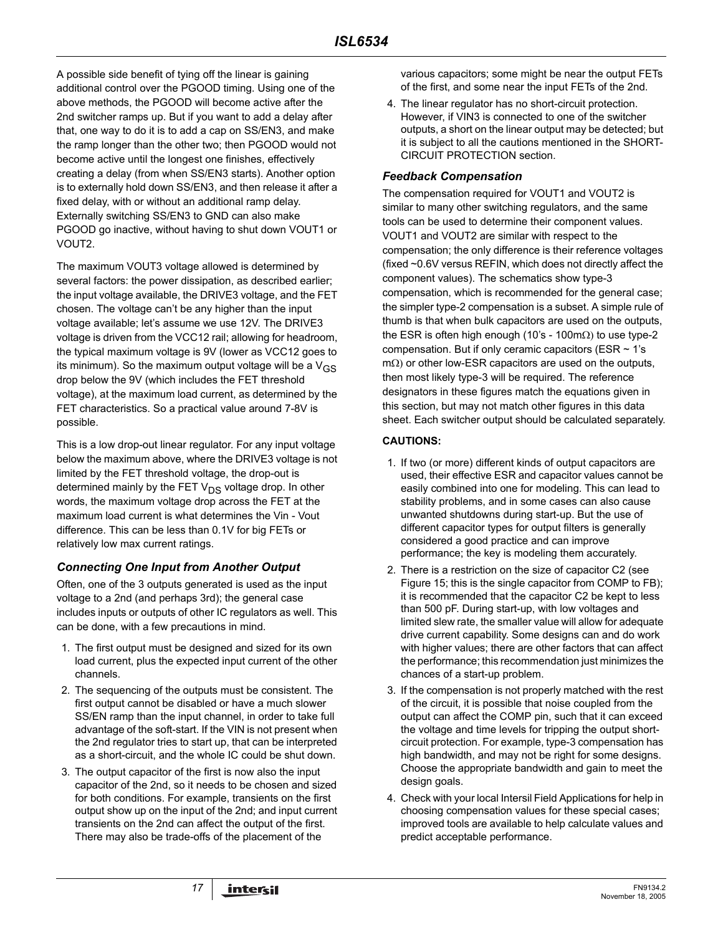A possible side benefit of tying off the linear is gaining additional control over the PGOOD timing. Using one of the above methods, the PGOOD will become active after the 2nd switcher ramps up. But if you want to add a delay after that, one way to do it is to add a cap on SS/EN3, and make the ramp longer than the other two; then PGOOD would not become active until the longest one finishes, effectively creating a delay (from when SS/EN3 starts). Another option is to externally hold down SS/EN3, and then release it after a fixed delay, with or without an additional ramp delay. Externally switching SS/EN3 to GND can also make PGOOD go inactive, without having to shut down VOUT1 or VOUT2.

The maximum VOUT3 voltage allowed is determined by several factors: the power dissipation, as described earlier; the input voltage available, the DRIVE3 voltage, and the FET chosen. The voltage can't be any higher than the input voltage available; let's assume we use 12V. The DRIVE3 voltage is driven from the VCC12 rail; allowing for headroom, the typical maximum voltage is 9V (lower as VCC12 goes to its minimum). So the maximum output voltage will be a  $V_{GS}$ drop below the 9V (which includes the FET threshold voltage), at the maximum load current, as determined by the FET characteristics. So a practical value around 7-8V is possible.

This is a low drop-out linear regulator. For any input voltage below the maximum above, where the DRIVE3 voltage is not limited by the FET threshold voltage, the drop-out is determined mainly by the FET  $V_{DS}$  voltage drop. In other words, the maximum voltage drop across the FET at the maximum load current is what determines the Vin - Vout difference. This can be less than 0.1V for big FETs or relatively low max current ratings.

### *Connecting One Input from Another Output*

Often, one of the 3 outputs generated is used as the input voltage to a 2nd (and perhaps 3rd); the general case includes inputs or outputs of other IC regulators as well. This can be done, with a few precautions in mind.

- 1. The first output must be designed and sized for its own load current, plus the expected input current of the other channels.
- 2. The sequencing of the outputs must be consistent. The first output cannot be disabled or have a much slower SS/EN ramp than the input channel, in order to take full advantage of the soft-start. If the VIN is not present when the 2nd regulator tries to start up, that can be interpreted as a short-circuit, and the whole IC could be shut down.
- 3. The output capacitor of the first is now also the input capacitor of the 2nd, so it needs to be chosen and sized for both conditions. For example, transients on the first output show up on the input of the 2nd; and input current transients on the 2nd can affect the output of the first. There may also be trade-offs of the placement of the

various capacitors; some might be near the output FETs of the first, and some near the input FETs of the 2nd.

4. The linear regulator has no short-circuit protection. However, if VIN3 is connected to one of the switcher outputs, a short on the linear output may be detected; but it is subject to all the cautions mentioned in the SHORT-CIRCUIT PROTECTION section.

#### *Feedback Compensation*

The compensation required for VOUT1 and VOUT2 is similar to many other switching regulators, and the same tools can be used to determine their component values. VOUT1 and VOUT2 are similar with respect to the compensation; the only difference is their reference voltages (fixed ~0.6V versus REFIN, which does not directly affect the component values). The schematics show type-3 compensation, which is recommended for the general case; the simpler type-2 compensation is a subset. A simple rule of thumb is that when bulk capacitors are used on the outputs, the ESR is often high enough (10's - 100m $\Omega$ ) to use type-2 compensation. But if only ceramic capacitors (ESR  $\sim$  1's mΩ) or other low-ESR capacitors are used on the outputs, then most likely type-3 will be required. The reference designators in these figures match the equations given in this section, but may not match other figures in this data sheet. Each switcher output should be calculated separately.

### **CAUTIONS:**

- 1. If two (or more) different kinds of output capacitors are used, their effective ESR and capacitor values cannot be easily combined into one for modeling. This can lead to stability problems, and in some cases can also cause unwanted shutdowns during start-up. But the use of different capacitor types for output filters is generally considered a good practice and can improve performance; the key is modeling them accurately.
- 2. There is a restriction on the size of capacitor C2 (see Figure 15; this is the single capacitor from COMP to FB); it is recommended that the capacitor C2 be kept to less than 500 pF. During start-up, with low voltages and limited slew rate, the smaller value will allow for adequate drive current capability. Some designs can and do work with higher values; there are other factors that can affect the performance; this recommendation just minimizes the chances of a start-up problem.
- 3. If the compensation is not properly matched with the rest of the circuit, it is possible that noise coupled from the output can affect the COMP pin, such that it can exceed the voltage and time levels for tripping the output shortcircuit protection. For example, type-3 compensation has high bandwidth, and may not be right for some designs. Choose the appropriate bandwidth and gain to meet the design goals.
- 4. Check with your local Intersil Field Applications for help in choosing compensation values for these special cases; improved tools are available to help calculate values and predict acceptable performance.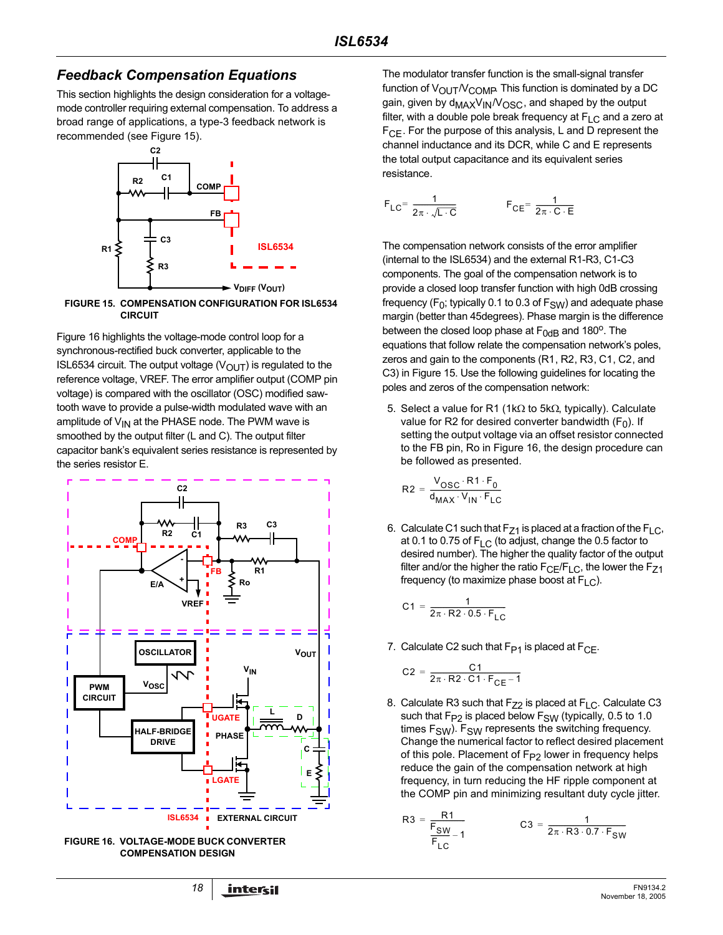# *Feedback Compensation Equations*

This section highlights the design consideration for a voltagemode controller requiring external compensation. To address a broad range of applications, a type-3 feedback network is recommended (see Figure 15).



**FIGURE 15. COMPENSATION CONFIGURATION FOR ISL6534 CIRCUIT**

Figure 16 highlights the voltage-mode control loop for a synchronous-rectified buck converter, applicable to the ISL6534 circuit. The output voltage  $(V_{\text{OUT}})$  is regulated to the reference voltage, VREF. The error amplifier output (COMP pin voltage) is compared with the oscillator (OSC) modified sawtooth wave to provide a pulse-width modulated wave with an amplitude of  $V_{IN}$  at the PHASE node. The PWM wave is smoothed by the output filter (L and C). The output filter capacitor bank's equivalent series resistance is represented by the series resistor E.



**FIGURE 16. VOLTAGE-MODE BUCK CONVERTER COMPENSATION DESIGN**

The modulator transfer function is the small-signal transfer function of  $V_{\text{OUT}}/V_{\text{COMP}}$  This function is dominated by a DC gain, given by d<sub>MAX</sub>V<sub>IN</sub>/V<sub>OSC</sub>, and shaped by the output filter, with a double pole break frequency at  $F_{LC}$  and a zero at  $F_{\text{CF}}$ . For the purpose of this analysis, L and D represent the channel inductance and its DCR, while C and E represents the total output capacitance and its equivalent series resistance.

$$
F_{LC} = \frac{1}{2\pi \cdot \sqrt{L \cdot C}} \qquad F_{CE} = \frac{1}{2\pi \cdot C \cdot E}
$$

The compensation network consists of the error amplifier (internal to the ISL6534) and the external R1-R3, C1-C3 components. The goal of the compensation network is to provide a closed loop transfer function with high 0dB crossing frequency ( $F_0$ ; typically 0.1 to 0.3 of  $F_{SW}$ ) and adequate phase margin (better than 45degrees). Phase margin is the difference between the closed loop phase at  $F_{0dB}$  and 180<sup>o</sup>. The equations that follow relate the compensation network's poles, zeros and gain to the components (R1, R2, R3, C1, C2, and C3) in Figure 15. Use the following guidelines for locating the poles and zeros of the compensation network:

5. Select a value for R1 (1kΩ to 5kΩ, typically). Calculate value for R2 for desired converter bandwidth  $(F_0)$ . If setting the output voltage via an offset resistor connected to the FB pin, Ro in Figure 16, the design procedure can be followed as presented.

$$
R2 = \frac{V_{OSC} \cdot R1 \cdot F_0}{d_{MAX} \cdot V_{IN} \cdot F_{LC}}
$$

6. Calculate C1 such that  $F_{Z1}$  is placed at a fraction of the  $F_{LC}$ , at 0.1 to 0.75 of  $F_{\text{LC}}$  (to adjust, change the 0.5 factor to desired number). The higher the quality factor of the output filter and/or the higher the ratio  $F_{CE}/F_{LC}$ , the lower the  $F_{Z1}$ frequency (to maximize phase boost at  $F_{\text{LC}}$ ).

$$
C1 = \frac{1}{2\pi \cdot R2 \cdot 0.5 \cdot F_{LC}}
$$

7. Calculate C2 such that  $F_{P1}$  is placed at  $F_{CF}$ .

$$
C2 = \frac{C1}{2\pi \cdot R2 \cdot C1 \cdot F_{CE} - 1}
$$

 $\mathsf R$ 

8. Calculate R3 such that  $F_{Z2}$  is placed at  $F_{LC}$ . Calculate C3 such that  $F_{P2}$  is placed below  $F_{SW}$  (typically, 0.5 to 1.0 times  $F_{SW}$ ).  $F_{SW}$  represents the switching frequency. Change the numerical factor to reflect desired placement of this pole. Placement of F<sub>P2</sub> lower in frequency helps reduce the gain of the compensation network at high frequency, in turn reducing the HF ripple component at the COMP pin and minimizing resultant duty cycle jitter.

$$
3 = \frac{R1}{\frac{F_{SW}}{F_{LC}} - 1}
$$
 
$$
C3 = \frac{1}{2\pi \cdot R3 \cdot 0.7 \cdot F_{SW}}
$$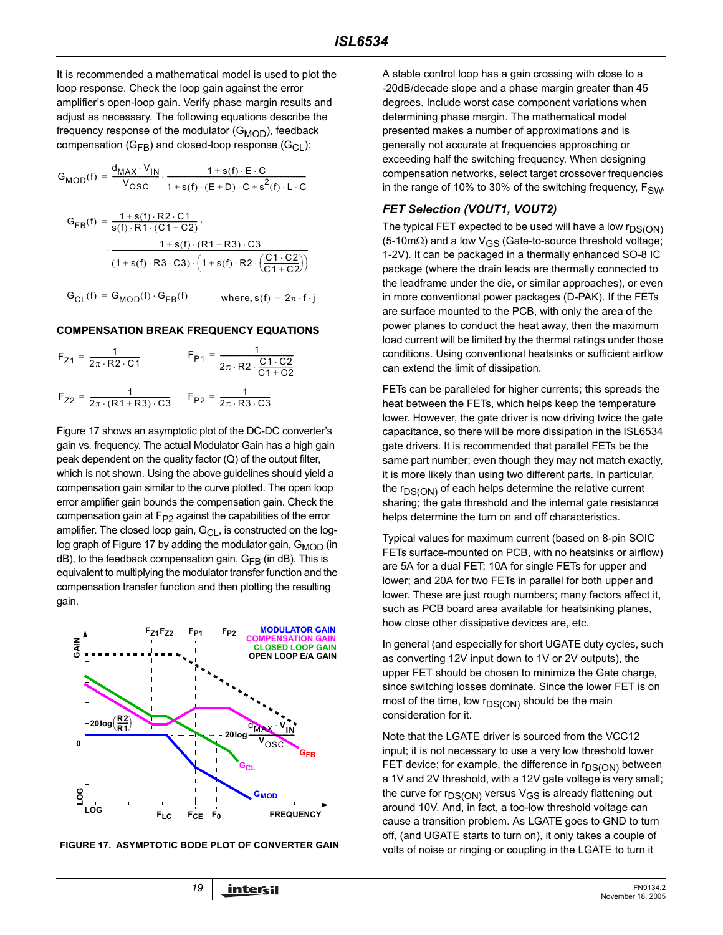It is recommended a mathematical model is used to plot the loop response. Check the loop gain against the error amplifier's open-loop gain. Verify phase margin results and adjust as necessary. The following equations describe the frequency response of the modulator  $(G_{\text{MOD}})$ , feedback compensation ( $G_{FB}$ ) and closed-loop response ( $G_{CI}$ ):

$$
G_{MOD}(f) = \frac{d_{MAX} \cdot V_{IN}}{V_{OSC}} \cdot \frac{1 + s(f) \cdot E \cdot C}{1 + s(f) \cdot (E + D) \cdot C + s^{2}(f) \cdot L \cdot C}
$$
  
\n
$$
G_{FB}(f) = \frac{1 + s(f) \cdot R2 \cdot C1}{s(f) \cdot R1 \cdot (C1 + C2)} \cdot \frac{1 + s(f) \cdot (R1 + R3) \cdot C3}{(1 + s(f) \cdot R3 \cdot C3) \cdot (1 + s(f) \cdot R2 \cdot (\frac{C1 \cdot C2}{C1 + C2}))}
$$
  
\n
$$
G_{CL}(f) = G_{MOD}(f) \cdot G_{FB}(f) \qquad \text{where, } s(f) = 2\pi \cdot f \cdot j
$$

#### **COMPENSATION BREAK FREQUENCY EQUATIONS**

$$
F_{Z1} = \frac{1}{2\pi \cdot R2 \cdot C1}
$$
  
\n
$$
F_{P1} = \frac{1}{2\pi \cdot R2 \cdot \frac{C1 \cdot C2}{C1 + C2}}
$$
  
\n
$$
F_{Z2} = \frac{1}{2\pi \cdot (R1 + R3) \cdot C3}
$$
  
\n
$$
F_{P2} = \frac{1}{2\pi \cdot R3 \cdot C3}
$$

Figure 17 shows an asymptotic plot of the DC-DC converter's gain vs. frequency. The actual Modulator Gain has a high gain peak dependent on the quality factor (Q) of the output filter, which is not shown. Using the above guidelines should yield a compensation gain similar to the curve plotted. The open loop error amplifier gain bounds the compensation gain. Check the compensation gain at  $F_{P2}$  against the capabilities of the error amplifier. The closed loop gain,  $G_{CL}$ , is constructed on the loglog graph of Figure 17 by adding the modulator gain,  $G_{\text{MOD}}$  (in  $dB$ ), to the feedback compensation gain,  $G_{FB}$  (in dB). This is equivalent to multiplying the modulator transfer function and the compensation transfer function and then plotting the resulting gain.





A stable control loop has a gain crossing with close to a -20dB/decade slope and a phase margin greater than 45 degrees. Include worst case component variations when determining phase margin. The mathematical model presented makes a number of approximations and is generally not accurate at frequencies approaching or exceeding half the switching frequency. When designing compensation networks, select target crossover frequencies in the range of 10% to 30% of the switching frequency,  $F_{SW}$ .

### *FET Selection (VOUT1, VOUT2)*

The typical FET expected to be used will have a low  $r_{DS(ON)}$ (5-10mΩ) and a low V<sub>GS</sub> (Gate-to-source threshold voltage; 1-2V). It can be packaged in a thermally enhanced SO-8 IC package (where the drain leads are thermally connected to the leadframe under the die, or similar approaches), or even in more conventional power packages (D-PAK). If the FETs are surface mounted to the PCB, with only the area of the power planes to conduct the heat away, then the maximum load current will be limited by the thermal ratings under those conditions. Using conventional heatsinks or sufficient airflow can extend the limit of dissipation.

FETs can be paralleled for higher currents; this spreads the heat between the FETs, which helps keep the temperature lower. However, the gate driver is now driving twice the gate capacitance, so there will be more dissipation in the ISL6534 gate drivers. It is recommended that parallel FETs be the same part number; even though they may not match exactly, it is more likely than using two different parts. In particular, the  $r_{DS(ON)}$  of each helps determine the relative current sharing; the gate threshold and the internal gate resistance helps determine the turn on and off characteristics.

Typical values for maximum current (based on 8-pin SOIC FETs surface-mounted on PCB, with no heatsinks or airflow) are 5A for a dual FET; 10A for single FETs for upper and lower; and 20A for two FETs in parallel for both upper and lower. These are just rough numbers; many factors affect it, such as PCB board area available for heatsinking planes, how close other dissipative devices are, etc.

In general (and especially for short UGATE duty cycles, such as converting 12V input down to 1V or 2V outputs), the upper FET should be chosen to minimize the Gate charge, since switching losses dominate. Since the lower FET is on most of the time, low  $r_{DS(ON)}$  should be the main consideration for it.

Note that the LGATE driver is sourced from the VCC12 input; it is not necessary to use a very low threshold lower FET device; for example, the difference in  $r_{DS(ON)}$  between a 1V and 2V threshold, with a 12V gate voltage is very small; the curve for  $r_{DS(ON)}$  versus  $V_{GS}$  is already flattening out around 10V. And, in fact, a too-low threshold voltage can cause a transition problem. As LGATE goes to GND to turn off, (and UGATE starts to turn on), it only takes a couple of volts of noise or ringing or coupling in the LGATE to turn it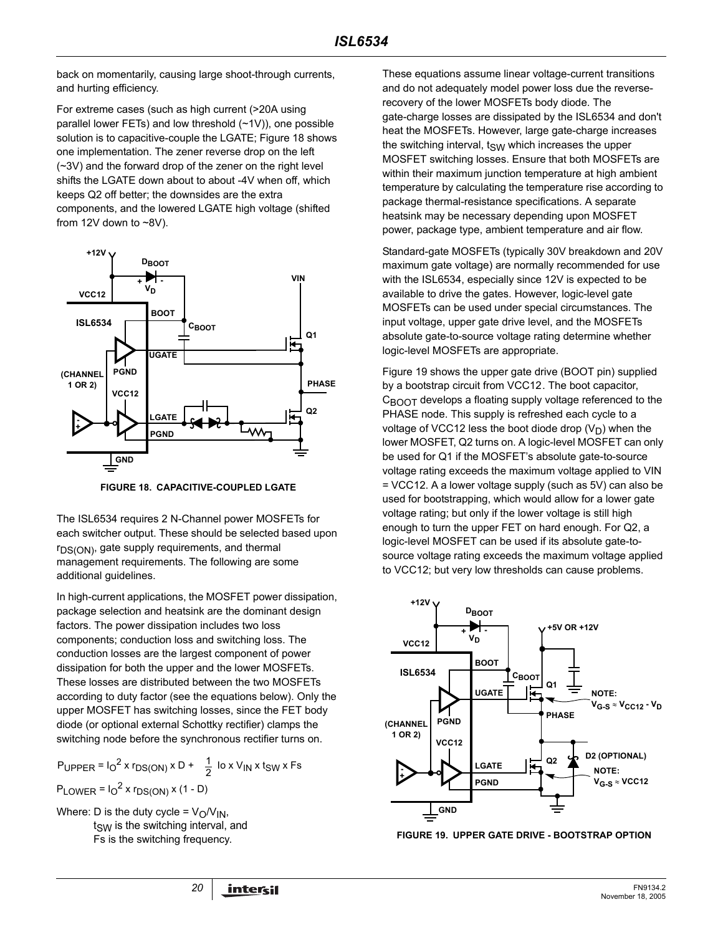back on momentarily, causing large shoot-through currents, and hurting efficiency.

For extreme cases (such as high current (>20A using parallel lower FETs) and low threshold (~1V)), one possible solution is to capacitive-couple the LGATE; Figure 18 shows one implementation. The zener reverse drop on the left (~3V) and the forward drop of the zener on the right level shifts the LGATE down about to about -4V when off, which keeps Q2 off better; the downsides are the extra components, and the lowered LGATE high voltage (shifted from 12V down to  $~8$ V).



**FIGURE 18. CAPACITIVE-COUPLED LGATE**

The ISL6534 requires 2 N-Channel power MOSFETs for each switcher output. These should be selected based upon  $r_{DS(ON)}$ , gate supply requirements, and thermal management requirements. The following are some additional guidelines.

In high-current applications, the MOSFET power dissipation, package selection and heatsink are the dominant design factors. The power dissipation includes two loss components; conduction loss and switching loss. The conduction losses are the largest component of power dissipation for both the upper and the lower MOSFETs. These losses are distributed between the two MOSFETs according to duty factor (see the equations below). Only the upper MOSFET has switching losses, since the FET body diode (or optional external Schottky rectifier) clamps the switching node before the synchronous rectifier turns on.

$$
P_{\text{UPPER}} = I_0^2 \times r_{DS(ON)} \times D + \frac{1}{2} I_0 \times V_{\text{IN}} \times t_{SW} \times F_5
$$
  
 
$$
P_{\text{LOWER}} = I_0^2 \times r_{DS(ON)} \times (1 - D)
$$

Where: D is the duty cycle =  $V_O/V_{IN}$ ,  $t<sub>SW</sub>$  is the switching interval, and Fs is the switching frequency.

These equations assume linear voltage-current transitions and do not adequately model power loss due the reverserecovery of the lower MOSFETs body diode. The gate-charge losses are dissipated by the ISL6534 and don't heat the MOSFETs. However, large gate-charge increases the switching interval,  $t_{SW}$  which increases the upper MOSFET switching losses. Ensure that both MOSFETs are within their maximum junction temperature at high ambient temperature by calculating the temperature rise according to package thermal-resistance specifications. A separate heatsink may be necessary depending upon MOSFET power, package type, ambient temperature and air flow.

Standard-gate MOSFETs (typically 30V breakdown and 20V maximum gate voltage) are normally recommended for use with the ISL6534, especially since 12V is expected to be available to drive the gates. However, logic-level gate MOSFETs can be used under special circumstances. The input voltage, upper gate drive level, and the MOSFETs absolute gate-to-source voltage rating determine whether logic-level MOSFETs are appropriate.

Figure 19 shows the upper gate drive (BOOT pin) supplied by a bootstrap circuit from VCC12. The boot capacitor,  $C_{\text{BNOT}}$  develops a floating supply voltage referenced to the PHASE node. This supply is refreshed each cycle to a voltage of VCC12 less the boot diode drop  $(V_D)$  when the lower MOSFET, Q2 turns on. A logic-level MOSFET can only be used for Q1 if the MOSFET's absolute gate-to-source voltage rating exceeds the maximum voltage applied to VIN = VCC12. A a lower voltage supply (such as 5V) can also be used for bootstrapping, which would allow for a lower gate voltage rating; but only if the lower voltage is still high enough to turn the upper FET on hard enough. For Q2, a logic-level MOSFET can be used if its absolute gate-tosource voltage rating exceeds the maximum voltage applied to VCC12; but very low thresholds can cause problems.



#### **FIGURE 19. UPPER GATE DRIVE - BOOTSTRAP OPTION**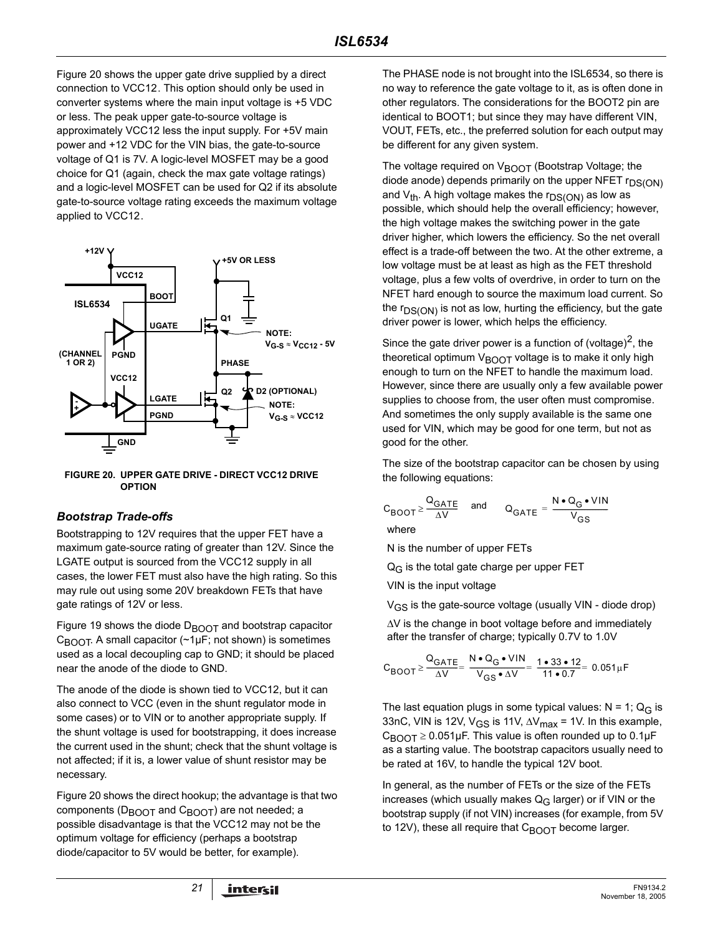Figure 20 shows the upper gate drive supplied by a direct connection to VCC12. This option should only be used in converter systems where the main input voltage is +5 VDC or less. The peak upper gate-to-source voltage is approximately VCC12 less the input supply. For +5V main power and +12 VDC for the VIN bias, the gate-to-source voltage of Q1 is 7V. A logic-level MOSFET may be a good choice for Q1 (again, check the max gate voltage ratings) and a logic-level MOSFET can be used for Q2 if its absolute gate-to-source voltage rating exceeds the maximum voltage applied to VCC12.



**FIGURE 20. UPPER GATE DRIVE - DIRECT VCC12 DRIVE OPTION**

### *Bootstrap Trade-offs*

Bootstrapping to 12V requires that the upper FET have a maximum gate-source rating of greater than 12V. Since the LGATE output is sourced from the VCC12 supply in all cases, the lower FET must also have the high rating. So this may rule out using some 20V breakdown FETs that have gate ratings of 12V or less.

Figure 19 shows the diode  $D_{\text{BOOT}}$  and bootstrap capacitor  $C_{\text{BODT}}$ . A small capacitor (~1µF; not shown) is sometimes used as a local decoupling cap to GND; it should be placed near the anode of the diode to GND.

The anode of the diode is shown tied to VCC12, but it can also connect to VCC (even in the shunt regulator mode in some cases) or to VIN or to another appropriate supply. If the shunt voltage is used for bootstrapping, it does increase the current used in the shunt; check that the shunt voltage is not affected; if it is, a lower value of shunt resistor may be necessary.

Figure 20 shows the direct hookup; the advantage is that two components ( $D_{\text{BOOT}}$  and  $C_{\text{BOOT}}$ ) are not needed; a possible disadvantage is that the VCC12 may not be the optimum voltage for efficiency (perhaps a bootstrap diode/capacitor to 5V would be better, for example).

The PHASE node is not brought into the ISL6534, so there is no way to reference the gate voltage to it, as is often done in other regulators. The considerations for the BOOT2 pin are identical to BOOT1; but since they may have different VIN, VOUT, FETs, etc., the preferred solution for each output may be different for any given system.

The voltage required on  $V_{\text{BOOT}}$  (Bootstrap Voltage; the diode anode) depends primarily on the upper NFET  $r_{DS(ON)}$ and  $V_{th}$ . A high voltage makes the  $r_{DS(ON)}$  as low as possible, which should help the overall efficiency; however, the high voltage makes the switching power in the gate driver higher, which lowers the efficiency. So the net overall effect is a trade-off between the two. At the other extreme, a low voltage must be at least as high as the FET threshold voltage, plus a few volts of overdrive, in order to turn on the NFET hard enough to source the maximum load current. So the  $r_{DS(ON)}$  is not as low, hurting the efficiency, but the gate driver power is lower, which helps the efficiency.

Since the gate driver power is a function of (voltage)<sup>2</sup>, the theoretical optimum  $V_{\text{BODT}}$  voltage is to make it only high enough to turn on the NFET to handle the maximum load. However, since there are usually only a few available power supplies to choose from, the user often must compromise. And sometimes the only supply available is the same one used for VIN, which may be good for one term, but not as good for the other.

The size of the bootstrap capacitor can be chosen by using the following equations:

$$
C_{\text{BOOT}} \geq \frac{Q_{\text{GATE}}}{\Delta V}
$$
 and  $Q_{\text{GATE}} = \frac{N \cdot Q_{\text{G}} \cdot V/N}{V_{\text{GS}}}$ 

where

N is the number of upper FETs

 $Q_G$  is the total gate charge per upper FET

VIN is the input voltage

VGS is the gate-source voltage (usually VIN - diode drop)

∆V is the change in boot voltage before and immediately after the transfer of charge; typically 0.7V to 1.0V

$$
C_{\text{BOOT}} \geq \frac{Q_{\text{GATE}}}{\Delta V} = \frac{N \cdot Q_{\text{G}} \cdot \text{VIN}}{V_{\text{GS}} \cdot \Delta V} = \frac{1 \cdot 33 \cdot 12}{11 \cdot 0.7} = 0.051 \mu \text{F}
$$

The last equation plugs in some typical values:  $N = 1$ ; Q<sub>G</sub> is 33nC, VIN is 12V, V<sub>GS</sub> is 11V,  $\Delta V_{\text{max}}$  = 1V. In this example,  $C_{\text{BNOT}} \geq 0.051 \mu$ F. This value is often rounded up to 0.1 $\mu$ F as a starting value. The bootstrap capacitors usually need to be rated at 16V, to handle the typical 12V boot.

In general, as the number of FETs or the size of the FETs increases (which usually makes  $Q_G$  larger) or if VIN or the bootstrap supply (if not VIN) increases (for example, from 5V to 12V), these all require that  $C_{\text{BOOT}}$  become larger.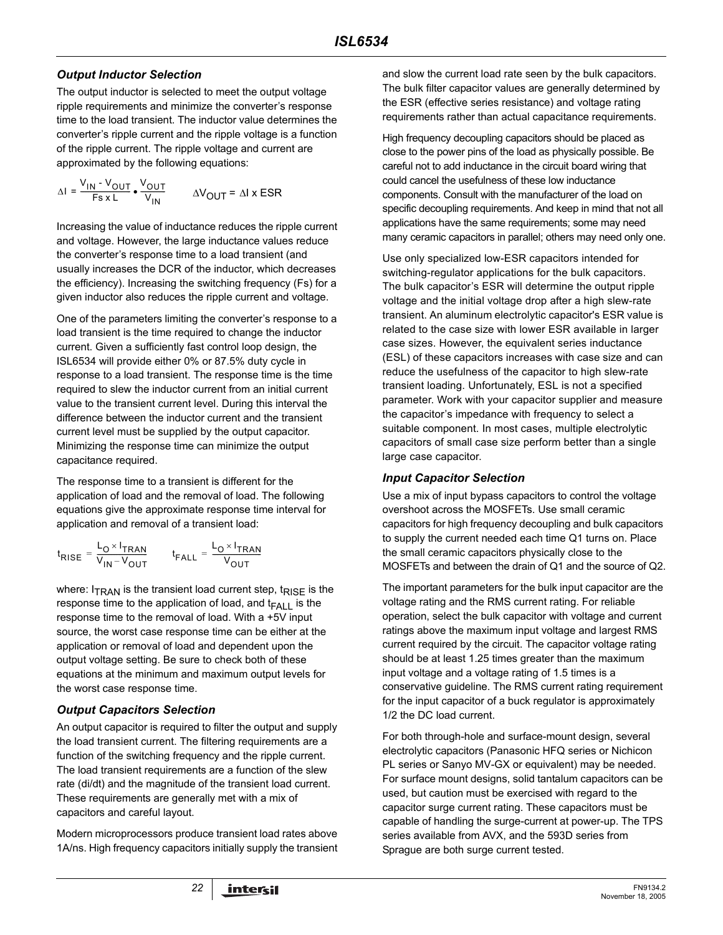### *Output Inductor Selection*

The output inductor is selected to meet the output voltage ripple requirements and minimize the converter's response time to the load transient. The inductor value determines the converter's ripple current and the ripple voltage is a function of the ripple current. The ripple voltage and current are approximated by the following equations:

$$
\Delta I = \frac{V_{IN} - V_{OUT}}{F s x L} \cdot \frac{V_{OUT}}{V_{IN}} \qquad \Delta V_{OUT} = \Delta I \times ESR
$$

Increasing the value of inductance reduces the ripple current and voltage. However, the large inductance values reduce the converter's response time to a load transient (and usually increases the DCR of the inductor, which decreases the efficiency). Increasing the switching frequency (Fs) for a given inductor also reduces the ripple current and voltage.

One of the parameters limiting the converter's response to a load transient is the time required to change the inductor current. Given a sufficiently fast control loop design, the ISL6534 will provide either 0% or 87.5% duty cycle in response to a load transient. The response time is the time required to slew the inductor current from an initial current value to the transient current level. During this interval the difference between the inductor current and the transient current level must be supplied by the output capacitor. Minimizing the response time can minimize the output capacitance required.

The response time to a transient is different for the application of load and the removal of load. The following equations give the approximate response time interval for application and removal of a transient load:

$$
t_{\text{RISE}} = \frac{L_{\text{O}} \times I_{\text{TRAN}}}{V_{\text{IN}} - V_{\text{OUT}}} \qquad t_{\text{FALL}} = \frac{L_{\text{O}} \times I_{\text{TRAN}}}{V_{\text{OUT}}}
$$

where:  $I_{TRAN}$  is the transient load current step,  $t_{RISE}$  is the response time to the application of load, and  $t_{\text{FALL}}$  is the response time to the removal of load. With a +5V input source, the worst case response time can be either at the application or removal of load and dependent upon the output voltage setting. Be sure to check both of these equations at the minimum and maximum output levels for the worst case response time.

### *Output Capacitors Selection*

An output capacitor is required to filter the output and supply the load transient current. The filtering requirements are a function of the switching frequency and the ripple current. The load transient requirements are a function of the slew rate (di/dt) and the magnitude of the transient load current. These requirements are generally met with a mix of capacitors and careful layout.

Modern microprocessors produce transient load rates above 1A/ns. High frequency capacitors initially supply the transient and slow the current load rate seen by the bulk capacitors. The bulk filter capacitor values are generally determined by the ESR (effective series resistance) and voltage rating requirements rather than actual capacitance requirements.

High frequency decoupling capacitors should be placed as close to the power pins of the load as physically possible. Be careful not to add inductance in the circuit board wiring that could cancel the usefulness of these low inductance components. Consult with the manufacturer of the load on specific decoupling requirements. And keep in mind that not all applications have the same requirements; some may need many ceramic capacitors in parallel; others may need only one.

Use only specialized low-ESR capacitors intended for switching-regulator applications for the bulk capacitors. The bulk capacitor's ESR will determine the output ripple voltage and the initial voltage drop after a high slew-rate transient. An aluminum electrolytic capacitor's ESR value is related to the case size with lower ESR available in larger case sizes. However, the equivalent series inductance (ESL) of these capacitors increases with case size and can reduce the usefulness of the capacitor to high slew-rate transient loading. Unfortunately, ESL is not a specified parameter. Work with your capacitor supplier and measure the capacitor's impedance with frequency to select a suitable component. In most cases, multiple electrolytic capacitors of small case size perform better than a single large case capacitor.

### *Input Capacitor Selection*

Use a mix of input bypass capacitors to control the voltage overshoot across the MOSFETs. Use small ceramic capacitors for high frequency decoupling and bulk capacitors to supply the current needed each time Q1 turns on. Place the small ceramic capacitors physically close to the MOSFETs and between the drain of Q1 and the source of Q2.

The important parameters for the bulk input capacitor are the voltage rating and the RMS current rating. For reliable operation, select the bulk capacitor with voltage and current ratings above the maximum input voltage and largest RMS current required by the circuit. The capacitor voltage rating should be at least 1.25 times greater than the maximum input voltage and a voltage rating of 1.5 times is a conservative guideline. The RMS current rating requirement for the input capacitor of a buck regulator is approximately 1/2 the DC load current.

For both through-hole and surface-mount design, several electrolytic capacitors (Panasonic HFQ series or Nichicon PL series or Sanyo MV-GX or equivalent) may be needed. For surface mount designs, solid tantalum capacitors can be used, but caution must be exercised with regard to the capacitor surge current rating. These capacitors must be capable of handling the surge-current at power-up. The TPS series available from AVX, and the 593D series from Sprague are both surge current tested.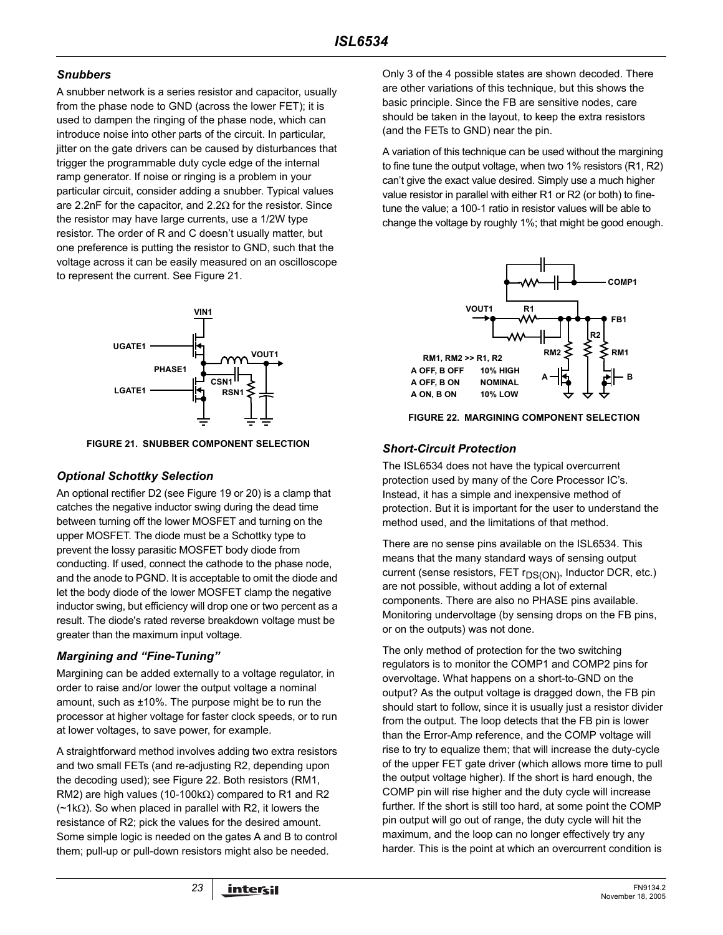### *Snubbers*

A snubber network is a series resistor and capacitor, usually from the phase node to GND (across the lower FET); it is used to dampen the ringing of the phase node, which can introduce noise into other parts of the circuit. In particular, jitter on the gate drivers can be caused by disturbances that trigger the programmable duty cycle edge of the internal ramp generator. If noise or ringing is a problem in your particular circuit, consider adding a snubber. Typical values are 2.2nF for the capacitor, and 2.2Ω for the resistor. Since the resistor may have large currents, use a 1/2W type resistor. The order of R and C doesn't usually matter, but one preference is putting the resistor to GND, such that the voltage across it can be easily measured on an oscilloscope to represent the current. See Figure 21.



**FIGURE 21. SNUBBER COMPONENT SELECTION**

### *Optional Schottky Selection*

An optional rectifier D2 (see Figure 19 or 20) is a clamp that catches the negative inductor swing during the dead time between turning off the lower MOSFET and turning on the upper MOSFET. The diode must be a Schottky type to prevent the lossy parasitic MOSFET body diode from conducting. If used, connect the cathode to the phase node, and the anode to PGND. It is acceptable to omit the diode and let the body diode of the lower MOSFET clamp the negative inductor swing, but efficiency will drop one or two percent as a result. The diode's rated reverse breakdown voltage must be greater than the maximum input voltage.

### *Margining and "Fine-Tuning"*

Margining can be added externally to a voltage regulator, in order to raise and/or lower the output voltage a nominal amount, such as ±10%. The purpose might be to run the processor at higher voltage for faster clock speeds, or to run at lower voltages, to save power, for example.

A straightforward method involves adding two extra resistors and two small FETs (and re-adjusting R2, depending upon the decoding used); see Figure 22. Both resistors (RM1, RM2) are high values (10-100k $\Omega$ ) compared to R1 and R2  $(-1k\Omega)$ . So when placed in parallel with R2, it lowers the resistance of R2; pick the values for the desired amount. Some simple logic is needed on the gates A and B to control them; pull-up or pull-down resistors might also be needed.

Only 3 of the 4 possible states are shown decoded. There are other variations of this technique, but this shows the basic principle. Since the FB are sensitive nodes, care should be taken in the layout, to keep the extra resistors (and the FETs to GND) near the pin.

A variation of this technique can be used without the margining to fine tune the output voltage, when two 1% resistors (R1, R2) can't give the exact value desired. Simply use a much higher value resistor in parallel with either R1 or R2 (or both) to finetune the value; a 100-1 ratio in resistor values will be able to change the voltage by roughly 1%; that might be good enough.



**FIGURE 22. MARGINING COMPONENT SELECTION**

### *Short-Circuit Protection*

The ISL6534 does not have the typical overcurrent protection used by many of the Core Processor IC's. Instead, it has a simple and inexpensive method of protection. But it is important for the user to understand the method used, and the limitations of that method.

There are no sense pins available on the ISL6534. This means that the many standard ways of sensing output current (sense resistors, FET  $r_{DS(ON)}$ , Inductor DCR, etc.) are not possible, without adding a lot of external components. There are also no PHASE pins available. Monitoring undervoltage (by sensing drops on the FB pins, or on the outputs) was not done.

The only method of protection for the two switching regulators is to monitor the COMP1 and COMP2 pins for overvoltage. What happens on a short-to-GND on the output? As the output voltage is dragged down, the FB pin should start to follow, since it is usually just a resistor divider from the output. The loop detects that the FB pin is lower than the Error-Amp reference, and the COMP voltage will rise to try to equalize them; that will increase the duty-cycle of the upper FET gate driver (which allows more time to pull the output voltage higher). If the short is hard enough, the COMP pin will rise higher and the duty cycle will increase further. If the short is still too hard, at some point the COMP pin output will go out of range, the duty cycle will hit the maximum, and the loop can no longer effectively try any harder. This is the point at which an overcurrent condition is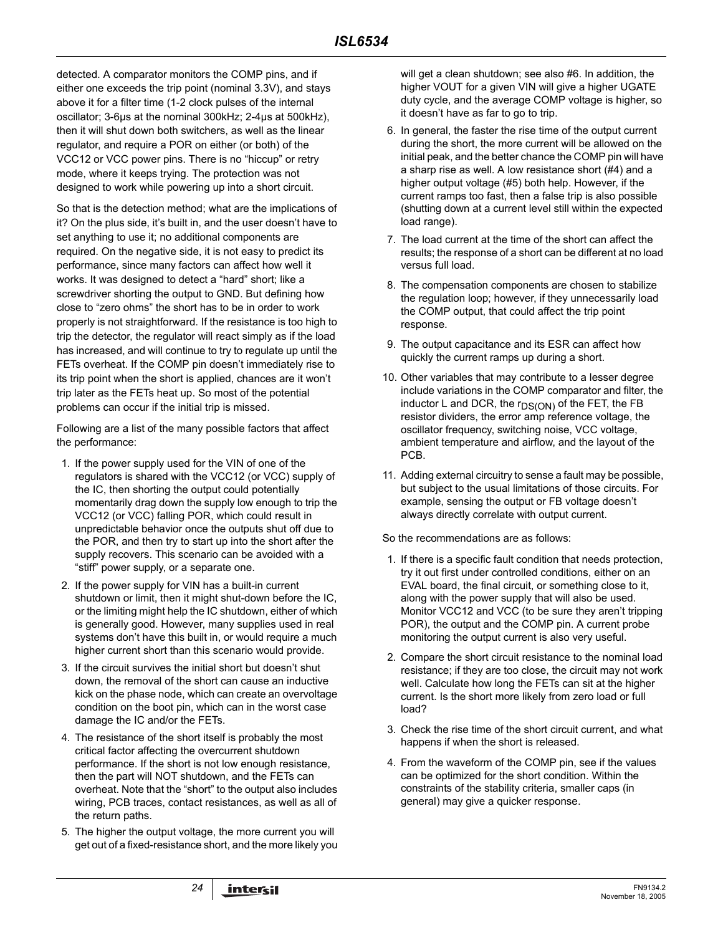detected. A comparator monitors the COMP pins, and if either one exceeds the trip point (nominal 3.3V), and stays above it for a filter time (1-2 clock pulses of the internal oscillator; 3-6µs at the nominal 300kHz; 2-4µs at 500kHz), then it will shut down both switchers, as well as the linear regulator, and require a POR on either (or both) of the VCC12 or VCC power pins. There is no "hiccup" or retry mode, where it keeps trying. The protection was not designed to work while powering up into a short circuit.

So that is the detection method; what are the implications of it? On the plus side, it's built in, and the user doesn't have to set anything to use it; no additional components are required. On the negative side, it is not easy to predict its performance, since many factors can affect how well it works. It was designed to detect a "hard" short; like a screwdriver shorting the output to GND. But defining how close to "zero ohms" the short has to be in order to work properly is not straightforward. If the resistance is too high to trip the detector, the regulator will react simply as if the load has increased, and will continue to try to regulate up until the FETs overheat. If the COMP pin doesn't immediately rise to its trip point when the short is applied, chances are it won't trip later as the FETs heat up. So most of the potential problems can occur if the initial trip is missed.

Following are a list of the many possible factors that affect the performance:

- 1. If the power supply used for the VIN of one of the regulators is shared with the VCC12 (or VCC) supply of the IC, then shorting the output could potentially momentarily drag down the supply low enough to trip the VCC12 (or VCC) falling POR, which could result in unpredictable behavior once the outputs shut off due to the POR, and then try to start up into the short after the supply recovers. This scenario can be avoided with a "stiff" power supply, or a separate one.
- 2. If the power supply for VIN has a built-in current shutdown or limit, then it might shut-down before the IC, or the limiting might help the IC shutdown, either of which is generally good. However, many supplies used in real systems don't have this built in, or would require a much higher current short than this scenario would provide.
- 3. If the circuit survives the initial short but doesn't shut down, the removal of the short can cause an inductive kick on the phase node, which can create an overvoltage condition on the boot pin, which can in the worst case damage the IC and/or the FETs.
- 4. The resistance of the short itself is probably the most critical factor affecting the overcurrent shutdown performance. If the short is not low enough resistance, then the part will NOT shutdown, and the FETs can overheat. Note that the "short" to the output also includes wiring, PCB traces, contact resistances, as well as all of the return paths.
- 5. The higher the output voltage, the more current you will get out of a fixed-resistance short, and the more likely you

will get a clean shutdown; see also #6. In addition, the higher VOUT for a given VIN will give a higher UGATE duty cycle, and the average COMP voltage is higher, so it doesn't have as far to go to trip.

- 6. In general, the faster the rise time of the output current during the short, the more current will be allowed on the initial peak, and the better chance the COMP pin will have a sharp rise as well. A low resistance short (#4) and a higher output voltage (#5) both help. However, if the current ramps too fast, then a false trip is also possible (shutting down at a current level still within the expected load range).
- 7. The load current at the time of the short can affect the results; the response of a short can be different at no load versus full load.
- 8. The compensation components are chosen to stabilize the regulation loop; however, if they unnecessarily load the COMP output, that could affect the trip point response.
- 9. The output capacitance and its ESR can affect how quickly the current ramps up during a short.
- 10. Other variables that may contribute to a lesser degree include variations in the COMP comparator and filter, the inductor L and DCR, the  $r_{DS(ON)}$  of the FET, the FB resistor dividers, the error amp reference voltage, the oscillator frequency, switching noise, VCC voltage, ambient temperature and airflow, and the layout of the PCB.
- 11. Adding external circuitry to sense a fault may be possible, but subject to the usual limitations of those circuits. For example, sensing the output or FB voltage doesn't always directly correlate with output current.

So the recommendations are as follows:

- 1. If there is a specific fault condition that needs protection, try it out first under controlled conditions, either on an EVAL board, the final circuit, or something close to it, along with the power supply that will also be used. Monitor VCC12 and VCC (to be sure they aren't tripping POR), the output and the COMP pin. A current probe monitoring the output current is also very useful.
- 2. Compare the short circuit resistance to the nominal load resistance; if they are too close, the circuit may not work well. Calculate how long the FETs can sit at the higher current. Is the short more likely from zero load or full load?
- 3. Check the rise time of the short circuit current, and what happens if when the short is released.
- 4. From the waveform of the COMP pin, see if the values can be optimized for the short condition. Within the constraints of the stability criteria, smaller caps (in general) may give a quicker response.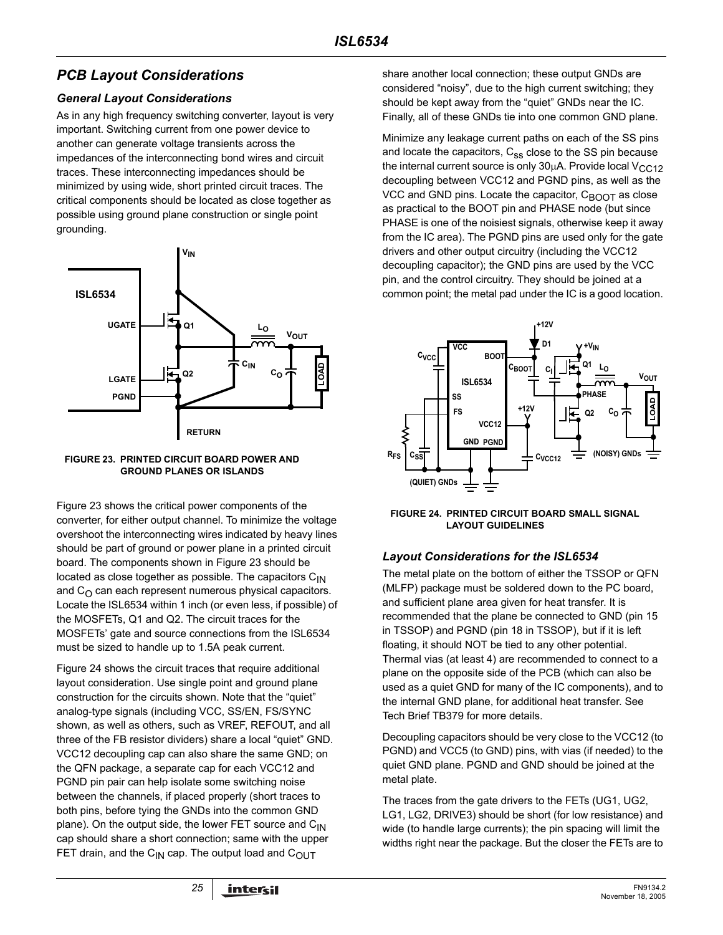# *PCB Layout Considerations*

### *General Layout Considerations*

As in any high frequency switching converter, layout is very important. Switching current from one power device to another can generate voltage transients across the impedances of the interconnecting bond wires and circuit traces. These interconnecting impedances should be minimized by using wide, short printed circuit traces. The critical components should be located as close together as possible using ground plane construction or single point grounding.





Figure 23 shows the critical power components of the converter, for either output channel. To minimize the voltage overshoot the interconnecting wires indicated by heavy lines should be part of ground or power plane in a printed circuit board. The components shown in Figure 23 should be located as close together as possible. The capacitors  $C_{1N}$ and  $C_{\text{O}}$  can each represent numerous physical capacitors. Locate the ISL6534 within 1 inch (or even less, if possible) of the MOSFETs, Q1 and Q2. The circuit traces for the MOSFETs' gate and source connections from the ISL6534 must be sized to handle up to 1.5A peak current.

Figure 24 shows the circuit traces that require additional layout consideration. Use single point and ground plane construction for the circuits shown. Note that the "quiet" analog-type signals (including VCC, SS/EN, FS/SYNC shown, as well as others, such as VREF, REFOUT, and all three of the FB resistor dividers) share a local "quiet" GND. VCC12 decoupling cap can also share the same GND; on the QFN package, a separate cap for each VCC12 and PGND pin pair can help isolate some switching noise between the channels, if placed properly (short traces to both pins, before tying the GNDs into the common GND plane). On the output side, the lower FET source and  $C_{1N}$ cap should share a short connection; same with the upper FET drain, and the  $C_{\text{IN}}$  cap. The output load and  $C_{\text{OUT}}$ 

share another local connection; these output GNDs are considered "noisy", due to the high current switching; they should be kept away from the "quiet" GNDs near the IC. Finally, all of these GNDs tie into one common GND plane.

Minimize any leakage current paths on each of the SS pins and locate the capacitors,  $C_{ss}$  close to the SS pin because the internal current source is only  $30\mu$ A. Provide local  $V_{CC12}$ decoupling between VCC12 and PGND pins, as well as the VCC and GND pins. Locate the capacitor,  $C_{\text{BOOT}}$  as close as practical to the BOOT pin and PHASE node (but since PHASE is one of the noisiest signals, otherwise keep it away from the IC area). The PGND pins are used only for the gate drivers and other output circuitry (including the VCC12 decoupling capacitor); the GND pins are used by the VCC pin, and the control circuitry. They should be joined at a common point; the metal pad under the IC is a good location.



**FIGURE 24. PRINTED CIRCUIT BOARD SMALL SIGNAL LAYOUT GUIDELINES**

### *Layout Considerations for the ISL6534*

The metal plate on the bottom of either the TSSOP or QFN (MLFP) package must be soldered down to the PC board, and sufficient plane area given for heat transfer. It is recommended that the plane be connected to GND (pin 15 in TSSOP) and PGND (pin 18 in TSSOP), but if it is left floating, it should NOT be tied to any other potential. Thermal vias (at least 4) are recommended to connect to a plane on the opposite side of the PCB (which can also be used as a quiet GND for many of the IC components), and to the internal GND plane, for additional heat transfer. See Tech Brief TB379 for more details.

Decoupling capacitors should be very close to the VCC12 (to PGND) and VCC5 (to GND) pins, with vias (if needed) to the quiet GND plane. PGND and GND should be joined at the metal plate.

The traces from the gate drivers to the FETs (UG1, UG2, LG1, LG2, DRIVE3) should be short (for low resistance) and wide (to handle large currents); the pin spacing will limit the widths right near the package. But the closer the FETs are to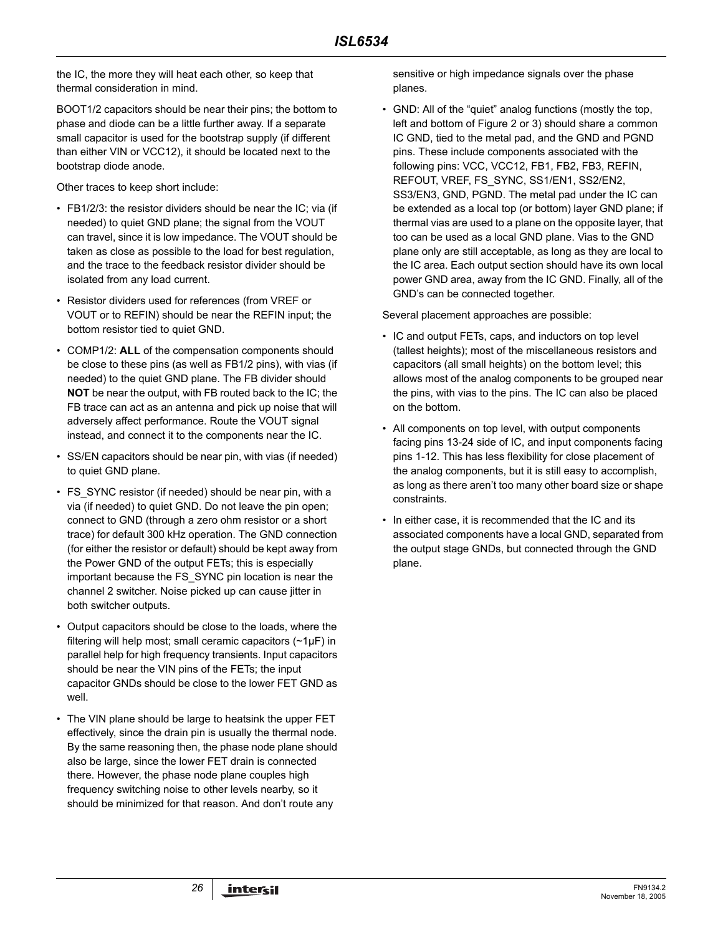the IC, the more they will heat each other, so keep that thermal consideration in mind.

BOOT1/2 capacitors should be near their pins; the bottom to phase and diode can be a little further away. If a separate small capacitor is used for the bootstrap supply (if different than either VIN or VCC12), it should be located next to the bootstrap diode anode.

Other traces to keep short include:

- FB1/2/3: the resistor dividers should be near the IC; via (if needed) to quiet GND plane; the signal from the VOUT can travel, since it is low impedance. The VOUT should be taken as close as possible to the load for best regulation, and the trace to the feedback resistor divider should be isolated from any load current.
- Resistor dividers used for references (from VREF or VOUT or to REFIN) should be near the REFIN input; the bottom resistor tied to quiet GND.
- COMP1/2: **ALL** of the compensation components should be close to these pins (as well as FB1/2 pins), with vias (if needed) to the quiet GND plane. The FB divider should **NOT** be near the output, with FB routed back to the IC; the FB trace can act as an antenna and pick up noise that will adversely affect performance. Route the VOUT signal instead, and connect it to the components near the IC.
- SS/EN capacitors should be near pin, with vias (if needed) to quiet GND plane.
- FS SYNC resistor (if needed) should be near pin, with a via (if needed) to quiet GND. Do not leave the pin open; connect to GND (through a zero ohm resistor or a short trace) for default 300 kHz operation. The GND connection (for either the resistor or default) should be kept away from the Power GND of the output FETs; this is especially important because the FS\_SYNC pin location is near the channel 2 switcher. Noise picked up can cause jitter in both switcher outputs.
- Output capacitors should be close to the loads, where the filtering will help most; small ceramic capacitors  $(\sim 1 \mu F)$  in parallel help for high frequency transients. Input capacitors should be near the VIN pins of the FETs; the input capacitor GNDs should be close to the lower FET GND as well.
- The VIN plane should be large to heatsink the upper FET effectively, since the drain pin is usually the thermal node. By the same reasoning then, the phase node plane should also be large, since the lower FET drain is connected there. However, the phase node plane couples high frequency switching noise to other levels nearby, so it should be minimized for that reason. And don't route any

sensitive or high impedance signals over the phase planes.

• GND: All of the "quiet" analog functions (mostly the top, left and bottom of Figure 2 or 3) should share a common IC GND, tied to the metal pad, and the GND and PGND pins. These include components associated with the following pins: VCC, VCC12, FB1, FB2, FB3, REFIN, REFOUT, VREF, FS\_SYNC, SS1/EN1, SS2/EN2, SS3/EN3, GND, PGND. The metal pad under the IC can be extended as a local top (or bottom) layer GND plane; if thermal vias are used to a plane on the opposite layer, that too can be used as a local GND plane. Vias to the GND plane only are still acceptable, as long as they are local to the IC area. Each output section should have its own local power GND area, away from the IC GND. Finally, all of the GND's can be connected together.

Several placement approaches are possible:

- IC and output FETs, caps, and inductors on top level (tallest heights); most of the miscellaneous resistors and capacitors (all small heights) on the bottom level; this allows most of the analog components to be grouped near the pins, with vias to the pins. The IC can also be placed on the bottom.
- All components on top level, with output components facing pins 13-24 side of IC, and input components facing pins 1-12. This has less flexibility for close placement of the analog components, but it is still easy to accomplish, as long as there aren't too many other board size or shape constraints.
- In either case, it is recommended that the IC and its associated components have a local GND, separated from the output stage GNDs, but connected through the GND plane.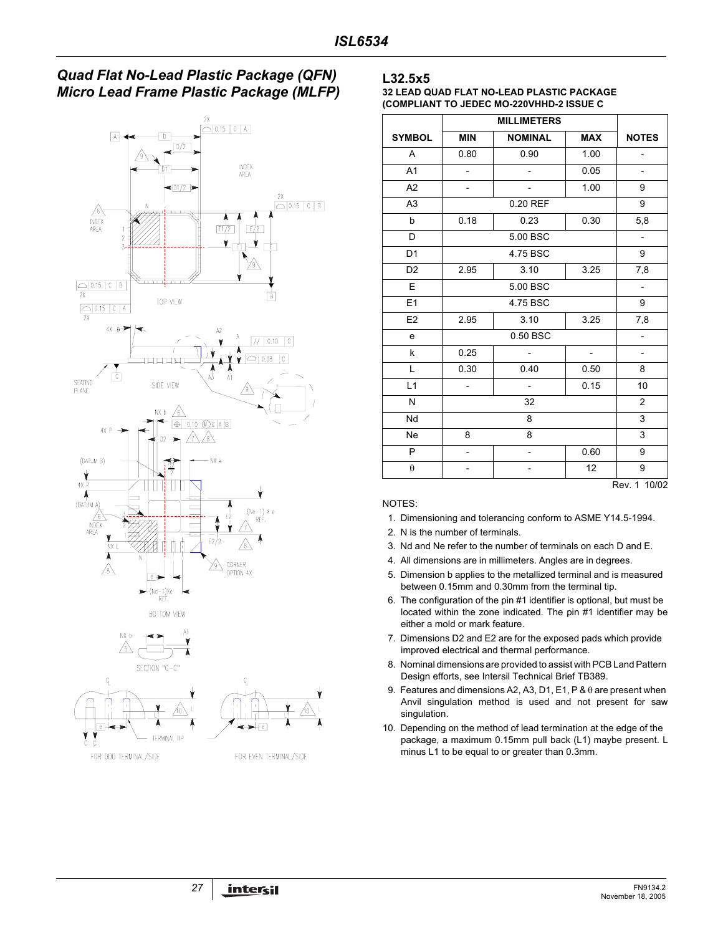## *Quad Flat No-Lead Plastic Package (QFN) Micro Lead Frame Plastic Package (MLFP)*





#### **L32.5x5**

#### **32 LEAD QUAD FLAT NO-LEAD PLASTIC PACKAGE (COMPLIANT TO JEDEC MO-220VHHD-2 ISSUE C**

|                |                          | <b>MILLIMETERS</b>       |                          |                          |  |  |
|----------------|--------------------------|--------------------------|--------------------------|--------------------------|--|--|
| <b>SYMBOL</b>  | <b>MIN</b>               | <b>NOMINAL</b>           | <b>MAX</b>               | <b>NOTES</b>             |  |  |
| A              | 0.80                     | 0.90                     | 1.00                     |                          |  |  |
| A <sub>1</sub> | $\overline{\phantom{0}}$ | $\overline{\phantom{0}}$ | 0.05                     | $\overline{\phantom{0}}$ |  |  |
| A <sub>2</sub> | $\overline{\phantom{0}}$ |                          | 1.00                     | 9                        |  |  |
| A <sub>3</sub> |                          | 0.20 REF                 |                          | 9                        |  |  |
| b              | 0.18                     | 0.23                     | 0.30                     | 5,8                      |  |  |
| D              |                          | 5.00 BSC                 |                          | $\overline{\phantom{a}}$ |  |  |
| D <sub>1</sub> |                          | 4.75 BSC                 |                          | 9                        |  |  |
| D <sub>2</sub> | 2.95                     | 3.10                     | 3.25                     | 7,8                      |  |  |
| E              |                          | 5.00 BSC                 |                          |                          |  |  |
| E <sub>1</sub> |                          | 4.75 BSC                 |                          | 9                        |  |  |
| E2             | 2.95                     | 3.10<br>3.25             |                          |                          |  |  |
| e              |                          | 0.50 BSC                 |                          |                          |  |  |
| k              | 0.25                     | $\overline{a}$           | $\overline{\phantom{a}}$ | $\overline{\phantom{0}}$ |  |  |
| L              | 0.30                     | 0.40                     | 0.50                     | 8                        |  |  |
| L1             | $\overline{a}$           | $\overline{a}$           | 0.15                     | 10                       |  |  |
| N              |                          | 32                       |                          |                          |  |  |
| Nd             |                          | 8                        |                          |                          |  |  |
| <b>Ne</b>      | 8                        | 8                        |                          | 3                        |  |  |
| P              | -                        | $\overline{\phantom{0}}$ | 0.60                     | 9                        |  |  |
| θ              |                          |                          | 12                       | 9                        |  |  |

#### NOTES:

- 1. Dimensioning and tolerancing conform to ASME Y14.5-1994.
- 2. N is the number of terminals.
- 3. Nd and Ne refer to the number of terminals on each D and E.
- 4. All dimensions are in millimeters. Angles are in degrees.
- 5. Dimension b applies to the metallized terminal and is measured between 0.15mm and 0.30mm from the terminal tip.
- 6. The configuration of the pin #1 identifier is optional, but must be located within the zone indicated. The pin #1 identifier may be either a mold or mark feature.
- 7. Dimensions D2 and E2 are for the exposed pads which provide improved electrical and thermal performance.
- 8. Nominal dimensions are provided to assist with PCB Land Pattern Design efforts, see Intersil Technical Brief TB389.
- 9. Features and dimensions A2, A3, D1, E1, P & θ are present when Anvil singulation method is used and not present for saw singulation.
- 10. Depending on the method of lead termination at the edge of the package, a maximum 0.15mm pull back (L1) maybe present. L minus L1 to be equal to or greater than 0.3mm.